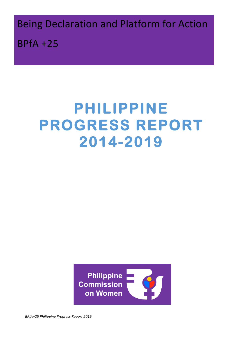**Being Declaration and Platform for Action**  $BPIA + 25$ 

# **PHILIPPINE PROGRESS REPORT 2014-2019**



*BPfA+25 Philippine Progress Report 2019*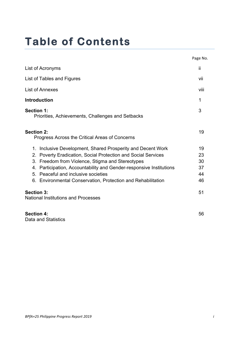## **Table of Contents**

|                                                                                                                                                                                                                                                                                                                                                                            | Page No.                         |
|----------------------------------------------------------------------------------------------------------------------------------------------------------------------------------------------------------------------------------------------------------------------------------------------------------------------------------------------------------------------------|----------------------------------|
| List of Acronyms                                                                                                                                                                                                                                                                                                                                                           | Ϊİ                               |
| List of Tables and Figures                                                                                                                                                                                                                                                                                                                                                 | vii                              |
| List of Annexes                                                                                                                                                                                                                                                                                                                                                            | Viii                             |
| <b>Introduction</b>                                                                                                                                                                                                                                                                                                                                                        | 1                                |
| <b>Section 1:</b><br>Priorities, Achievements, Challenges and Setbacks                                                                                                                                                                                                                                                                                                     | 3                                |
| <b>Section 2:</b><br>Progress Across the Critical Areas of Concerns                                                                                                                                                                                                                                                                                                        | 19                               |
| Inclusive Development, Shared Prosperity and Decent Work<br>1.<br>Poverty Eradication, Social Protection and Social Services<br>2.<br>Freedom from Violence, Stigma and Stereotypes<br>3.<br>Participation, Accountability and Gender-responsive Institutions<br>4.<br>5. Peaceful and inclusive societies<br>6. Environmental Conservation, Protection and Rehabilitation | 19<br>23<br>30<br>37<br>44<br>46 |
| <b>Section 3:</b><br><b>National Institutions and Processes</b>                                                                                                                                                                                                                                                                                                            | 51                               |
| <b>Section 4:</b>                                                                                                                                                                                                                                                                                                                                                          | 56                               |

Data and Statistics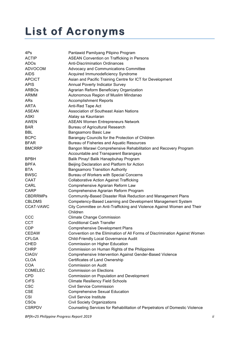## **List of Acronyms**

| 4Ps              | Pantawid Pamilyang Pilipino Program                                         |
|------------------|-----------------------------------------------------------------------------|
| <b>ACTIP</b>     | <b>ASEAN Convention on Trafficking in Persons</b>                           |
| <b>ADOs</b>      | <b>Anti-Discrimination Ordinances</b>                                       |
| <b>ADVOCOM</b>   | Advocacy and Communications Committee                                       |
| <b>AIDS</b>      | Acquired Immunodeficiency Syndrome                                          |
| <b>APCICT</b>    | Asian and Pacific Training Centre for ICT for Development                   |
| <b>APIS</b>      | Annual Poverty Indicator Survey                                             |
| <b>ARBOs</b>     | Agrarian Reform Beneficiary Organization                                    |
| ARMM             | Autonomous Region of Muslim Mindanao                                        |
| ARs              | <b>Accomplishment Reports</b>                                               |
| <b>ARTA</b>      | Anti-Red Tape Act                                                           |
| <b>ASEAN</b>     | Association of Southeast Asian Nations                                      |
| <b>ASKI</b>      | Alalay sa Kaunlaran                                                         |
| <b>AWEN</b>      | <b>ASEAN Women Entrepreneurs Network</b>                                    |
| <b>BAR</b>       | <b>Bureau of Agricultural Research</b>                                      |
| <b>BBL</b>       | Bangsamoro Basic Law                                                        |
| <b>BCPC</b>      | Barangay Councils for the Protection of Children                            |
| <b>BFAR</b>      | Bureau of Fisheries and Aquatic Resources                                   |
| <b>BMCRRP</b>    | Bangon Marawi Comprehensive Rehabilitation and Recovery Program             |
|                  | Accountable and Transparent Barangays                                       |
| <b>BPBH</b>      | Balik Pinay! Balik Hanapbuhay Program                                       |
| <b>BPFA</b>      | Beijing Declaration and Platform for Action                                 |
| <b>BTA</b>       | <b>Bangsamoro Transition Authority</b>                                      |
| <b>BWSC</b>      | Bureau of Workers with Special Concerns                                     |
| CAAT             | <b>Collaborative Action Against Trafficking</b>                             |
| CARL             | Comprehensive Agrarian Reform Law                                           |
| <b>CARP</b>      | Comprehensive Agrarian Reform Program                                       |
| <b>CBDRRMPs</b>  | Community-Based Disaster Risk Reduction and Management Plans                |
| <b>CBLDMS</b>    | Competency-Based Learning and Development Management System                 |
| <b>CCAT-VAWC</b> | City Committee on Anti-Trafficking and Violence Against Women and Their     |
|                  | Children                                                                    |
| CCC              | <b>Climate Change Commission</b>                                            |
| <b>CCT</b>       | <b>Conditional Cash Transfer</b>                                            |
| <b>CDP</b>       | <b>Comprehensive Development Plans</b>                                      |
| <b>CEDAW</b>     | Convention on the Elimination of All Forms of Discrimination Against Women  |
| <b>CFLGA</b>     | <b>Child-Friendly Local Governance Audit</b>                                |
| <b>CHED</b>      | Commission on Higher Education                                              |
| <b>CHRP</b>      | Commission on Human Rights of the Philippines                               |
| <b>CIAGV</b>     | Comprehensive Intervention Against Gender-Based Violence                    |
| <b>CLOA</b>      | Certificates of Land Ownership                                              |
| <b>COA</b>       | <b>Commission on Audit</b>                                                  |
| <b>COMELEC</b>   | <b>Commission on Elections</b>                                              |
| <b>CPD</b>       | Commission on Population and Development                                    |
| <b>CrFS</b>      | <b>Climate Resiliency Field Schools</b>                                     |
| <b>CSC</b>       | <b>Civil Service Commission</b>                                             |
| <b>CSE</b>       | <b>Comprehensive Sexual Education</b>                                       |
| CSI              | <b>Civil Service Institute</b>                                              |
| CSOs             | <b>Civil Society Organizations</b>                                          |
| <b>CSRPDV</b>    | Counseling Services for Rehabilitation of Perpetrators of Domestic Violence |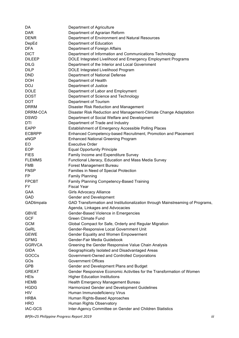| DA             | Department of Agriculture                                                      |
|----------------|--------------------------------------------------------------------------------|
| <b>DAR</b>     | Department of Agrarian Reform                                                  |
| <b>DENR</b>    | Department of Environment and Natural Resources                                |
| DepEd          | Department of Education                                                        |
| <b>DFA</b>     | Department of Foreign Affairs                                                  |
| <b>DICT</b>    | Department of Information and Communications Technology                        |
| <b>DILEEP</b>  | DOLE Integrated Livelihood and Emergency Employment Programs                   |
| <b>DILG</b>    | Department of the Interior and Local Government                                |
| <b>DILP</b>    | DOLE Integrated Livelihood Program                                             |
| <b>DND</b>     | Department of National Defense                                                 |
| <b>DOH</b>     | Department of Health                                                           |
| <b>DOJ</b>     | Department of Justice                                                          |
| <b>DOLE</b>    | Department of Labor and Employment                                             |
| <b>DOST</b>    | Department of Science and Technology                                           |
| <b>DOT</b>     | Department of Tourism                                                          |
| <b>DRRM</b>    | Disaster Risk Reduction and Management                                         |
| DRRM-CCA       |                                                                                |
|                | Disaster Risk Reduction and Management-Climate Change Adaptation               |
| <b>DSWD</b>    | Department of Social Welfare and Development                                   |
| DTI            | Department of Trade and Industry                                               |
| <b>EAPP</b>    | Establishment of Emergency Accessible Polling Places                           |
| <b>ECBRPP</b>  | Enhanced Competency-based Recruitment, Promotion and Placement                 |
| eNGP           | <b>Enhanced National Greening Program</b>                                      |
| EO             | <b>Executive Order</b>                                                         |
| <b>EOP</b>     | <b>Equal Opportunity Principle</b>                                             |
| <b>FIES</b>    | Family Income and Expenditure Survey                                           |
| <b>FLEMMS</b>  | Functional Literacy, Education and Mass Media Survey                           |
| <b>FMB</b>     | Forest Management Bureau                                                       |
| <b>FNSP</b>    | Families in Need of Special Protection                                         |
| FP.            | <b>Family Planning</b>                                                         |
| <b>FPCBT</b>   | Family Planning Competency-Based Training                                      |
| FY.            | <b>Fiscal Year</b>                                                             |
| GAA            | Girls Advocacy Alliance                                                        |
| GAD            | Gender and Development                                                         |
| GADtimpala     | GAD Transformation and Institutionalization through Mainstreaming of Programs, |
|                | Agenda, Linkages and Advocacies                                                |
| <b>GBVIE</b>   | Gender-Based Violence in Emergencies                                           |
| <b>GCF</b>     | <b>Green Climate Fund</b>                                                      |
| <b>GCM</b>     | Global Compact for Safe, Orderly and Regular Migration                         |
| GeRL           | Gender-Responsive Local Government Unit                                        |
| <b>GEWE</b>    | Gender Equality and Women Empowerment                                          |
| <b>GFMG</b>    | Gender-Fair Media Guidebook                                                    |
| <b>GGRVCA</b>  | Greening the Gender Responsive Value Chain Analysis                            |
| <b>GIDA</b>    | Geographically Isolated and Disadvantaged Areas                                |
| GOCCs          | Government-Owned and Controlled Corporations                                   |
| GOs            | <b>Government Offices</b>                                                      |
| <b>GPB</b>     | Gender and Development Plans and Budget                                        |
| <b>GREAT</b>   | Gender Responsive Economic Activities for the Transformation of Women          |
| <b>HEIS</b>    | <b>Higher Education Institutions</b>                                           |
| <b>HEMB</b>    | Health Emergency Management Bureau                                             |
| <b>HGDG</b>    | Harmonized Gender and Development Guidelines                                   |
| <b>HIV</b>     | Human Immunodeficiency Virus                                                   |
| <b>HRBA</b>    | Human Rights-Based Approaches                                                  |
| <b>HRO</b>     | Human Rights Observatory                                                       |
| <b>IAC-GCS</b> | Inter-Agency Committee on Gender and Children Statistics                       |
|                |                                                                                |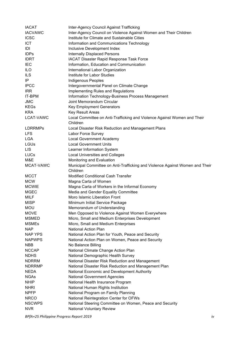| <b>IACAT</b>   | Inter-Agency Council Against Trafficking                                             |
|----------------|--------------------------------------------------------------------------------------|
| <b>IACVAWC</b> | Inter-Agency Council on Violence Against Women and Their Children                    |
| <b>ICSC</b>    | Institute for Climate and Sustainable Cities                                         |
| <b>ICT</b>     | Information and Communications Technology                                            |
| IDI            | Inclusive Development Index                                                          |
| <b>IDPs</b>    | <b>Internally Displaced Persons</b>                                                  |
| <b>IDRT</b>    | <b>IACAT Disaster Rapid Response Task Force</b>                                      |
| <b>IEC</b>     | Information, Education and Communication                                             |
| <b>ILO</b>     | International Labor Organization                                                     |
| <b>ILS</b>     | Institute for Labor Studies                                                          |
| IP             | <b>Indigenous Peoples</b>                                                            |
| <b>IPCC</b>    | Intergovernmental Panel on Climate Change                                            |
| <b>IRR</b>     | Implementing Rules and Regulations                                                   |
| IT-BPM         |                                                                                      |
| <b>JMC</b>     | Information Technology-Business Process Management<br>Joint Memorandum Circular      |
|                |                                                                                      |
| <b>KEGs</b>    | <b>Key Employment Generators</b>                                                     |
| <b>KRA</b>     | <b>Key Result Areas</b>                                                              |
| LCAT-VAWC      | Local Committee on Anti-Trafficking and Violence Against Women and Their<br>Children |
| <b>LDRRMPs</b> | Local Disaster Risk Reduction and Management Plans                                   |
| <b>LFS</b>     | Labor Force Survey                                                                   |
| <b>LGA</b>     | <b>Local Government Academy</b>                                                      |
| <b>LGUs</b>    | <b>Local Government Units</b>                                                        |
| <b>LIS</b>     | Learner Information System                                                           |
| <b>LUCs</b>    | <b>Local Universities and Colleges</b>                                               |
| M&E            | Monitoring and Evaluation                                                            |
| MCAT-VAWC      | Municipal Committee on Anti-Trafficking and Violence Against Women and Their         |
|                | Children                                                                             |
| <b>MCCT</b>    | <b>Modified Conditional Cash Transfer</b>                                            |
| <b>MCW</b>     | Magna Carta of Women                                                                 |
| <b>MCWIE</b>   | Magna Carta of Workers in the Informal Economy                                       |
| <b>MGEC</b>    | Media and Gender Equality Committee                                                  |
| <b>MILF</b>    | Moro Islamic Liberation Front                                                        |
| <b>MISP</b>    | Minimum Initial Service Package                                                      |
| MOU            | Memorandum of Understanding                                                          |
| <b>MOVE</b>    | Men Opposed to Violence Against Women Everywhere                                     |
| <b>MSMED</b>   | Micro, Small and Medium Enterprises Development                                      |
| <b>MSMEs</b>   | Micro, Small and Medium Enterprises                                                  |
| <b>NAP</b>     | <b>National Action Plan</b>                                                          |
| <b>NAP YPS</b> | National Action Plan for Youth, Peace and Security                                   |
|                |                                                                                      |
| <b>NAPWPS</b>  | National Action Plan on Women, Peace and Security                                    |
| <b>NBB</b>     | No Balance Billing                                                                   |
| <b>NCCAP</b>   | National Climate Change Action Plan                                                  |
| <b>NDHS</b>    | National Demographic Health Survey                                                   |
| <b>NDRRM</b>   | National Disaster Risk Reduction and Management                                      |
| <b>NDRRMP</b>  | National Disaster Risk Reduction and Management Plan                                 |
| <b>NEDA</b>    | National Economic and Development Authority                                          |
| <b>NGAs</b>    | <b>National Government Agencies</b>                                                  |
| <b>NHIP</b>    | National Health Insurance Program                                                    |
| <b>NHRI</b>    | National Human Rights Institution                                                    |
| <b>NPFP</b>    | National Program on Family Planning                                                  |
| <b>NRCO</b>    | National Reintegration Center for OFWs                                               |
| <b>NSCWPS</b>  | National Steering Committee on Women, Peace and Security                             |
| <b>NVR</b>     | <b>National Voluntary Review</b>                                                     |

*BPfA+25 Philippine Progress Report 2019 iv*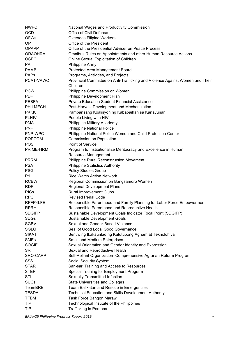| <b>NWPC</b>            | National Wages and Productivity Commission                                                |
|------------------------|-------------------------------------------------------------------------------------------|
| <b>OCD</b>             | Office of Civil Defense                                                                   |
| <b>OFWs</b>            | Overseas Filipino Workers                                                                 |
| OP                     | Office of the President                                                                   |
| <b>OPAPP</b>           | Office of the Presidential Adviser on Peace Process                                       |
| <b>ORAOHRA</b>         | Omnibus Rules on Appointments and other Human Resource Actions                            |
| <b>OSEC</b>            | Online Sexual Exploitation of Children                                                    |
| PA                     | Philippine Army                                                                           |
| <b>PAMB</b>            | Protected Area Management Board                                                           |
| <b>PAPs</b>            | Programs, Activities, and Projects                                                        |
| PCAT-VAWC              | Provincial Committee on Anti-Trafficking and Violence Against Women and Their             |
|                        | Children                                                                                  |
| <b>PCW</b>             | Philippine Commission on Women                                                            |
| <b>PDP</b>             | Philippine Development Plan                                                               |
| <b>PESFA</b>           | <b>Private Education Student Financial Assistance</b>                                     |
| <b>PHILMECH</b>        | Post-Harvest Development and Mechanization                                                |
| <b>PKKK</b>            | Pambansang Koalisyon ng Kababaihan sa Kanayunan                                           |
| <b>PLHIV</b>           | People Living with HIV                                                                    |
| <b>PMA</b>             | Philippine Military Academy                                                               |
| <b>PNP</b>             | <b>Philippine National Police</b>                                                         |
| PNP-WPC                | Philippine National Police Women and Child Protection Center                              |
| <b>POPCOM</b>          | Commission on Population                                                                  |
| <b>POS</b>             | Point of Service                                                                          |
| PRIME-HRM              | Program to Institutionalize Meritocracy and Excellence in Human                           |
|                        | <b>Resource Management</b>                                                                |
| PRRM                   | <b>Philippine Rural Reconstruction Movement</b>                                           |
| <b>PSA</b>             | <b>Philippine Statistics Authority</b>                                                    |
| <b>PSG</b>             | <b>Policy Studies Group</b>                                                               |
| R <sub>1</sub>         | <b>Rice Watch Action Network</b>                                                          |
| <b>RCBW</b>            | Regional Commission on Bangsamoro Women                                                   |
| <b>RDP</b>             | <b>Regional Development Plans</b>                                                         |
| <b>RICs</b>            | <b>Rural Improvement Clubs</b>                                                            |
| <b>RPC</b>             | <b>Revised Penal Code</b>                                                                 |
| RPFP4LFE               | Responsible Parenthood and Family Planning for Labor Force Empowerment                    |
| <b>RPRH</b>            | Responsible Parenthood and Reproductive Health                                            |
| <b>SDGIFP</b>          | Sustainable Development Goals Indicator Focal Point (SDGIFP)                              |
| <b>SDGs</b>            | Sustainable Development Goals                                                             |
| <b>SGBV</b>            | Sexual and Gender-Based Violence                                                          |
| <b>SGLG</b>            | Seal of Good Local Good Governance                                                        |
| <b>SIKAT</b>           | Sentro ng Ikakaunlad ng Katutubong Agham at Teknolohiya                                   |
| <b>SMEs</b>            | Small and Medium Enterprises                                                              |
| <b>SOGIE</b>           | Sexual Orientation and Gender Identity and Expression                                     |
| <b>SRH</b><br>SRO-CARP | Sexual and Reproductive Health                                                            |
| SSS                    | Self-Reliant Organization-Comprehensive Agrarian Reform Program<br>Social Security System |
| <b>STAR</b>            | Sari-sari Training and Access to Resources                                                |
| <b>STEP</b>            | Special Training for Employment Program                                                   |
| STI                    | Sexually Transmitted Infection                                                            |
| <b>SUCs</b>            | <b>State Universities and Colleges</b>                                                    |
| TeamBRE                | Team Balikatan and Rescue in Emergencies                                                  |
| <b>TESDA</b>           | <b>Technical Education and Skills Development Authority</b>                               |
| <b>TFBM</b>            | Task Force Bangon Marawi                                                                  |
| TIP                    | Technological Institute of the Philippines                                                |
| TIP                    | <b>Trafficking in Persons</b>                                                             |
|                        |                                                                                           |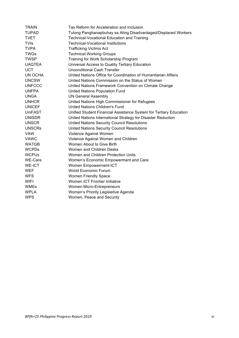| <b>TRAIN</b>   | Tax Reform for Acceleration and Inclusion                          |
|----------------|--------------------------------------------------------------------|
| <b>TUPAD</b>   | Tulong Panghanapbuhay sa Ating Disadvantaged/Displaced Workers     |
| <b>TVET</b>    | <b>Technical-Vocational Education and Training</b>                 |
| <b>TVIs</b>    | <b>Technical-Vocational Institutions</b>                           |
| <b>TVPA</b>    | <b>Trafficking Victims Act</b>                                     |
| <b>TWGs</b>    | <b>Technical Working Groups</b>                                    |
| <b>TWSP</b>    | Training for Work Scholarship Program                              |
| <b>UAQTEA</b>  | Universal Access to Quality Tertiary Education                     |
| <b>UCT</b>     | <b>Unconditional Cash Transfer</b>                                 |
| UN OCHA        | United Nations Office for Coordination of Humanitarian Affairs     |
| <b>UNCSW</b>   | United Nations Commission on the Status of Women                   |
| <b>UNFCCC</b>  | United Nations Framework Convention on Climate Change              |
| <b>UNFPA</b>   | United Nations Population Fund                                     |
| <b>UNGA</b>    | <b>UN General Assembly</b>                                         |
| <b>UNHCR</b>   | United Nations High Commissioner for Refugees                      |
| <b>UNICEF</b>  | <b>United Nations Children's Fund</b>                              |
| <b>UniFAST</b> | Unified Student Financial Assistance System for Tertiary Education |
| <b>UNISDR</b>  | United Nations International Strategy for Disaster Reduction       |
| <b>UNSCR</b>   | United Nations Security Council Resolutions                        |
| <b>UNSCRs</b>  | United Nations Security Council Resolutions                        |
| <b>VAW</b>     | Violence Against Women                                             |
| <b>VAWC</b>    | Violence Against Women and Children                                |
| <b>WATGB</b>   | Women About to Give Birth                                          |
| <b>WCPDs</b>   | Women and Children Desks                                           |
| <b>WCPUs</b>   | Women and Children Protection Units                                |
| WE-Care        | Women's Economic Empowerment and Care                              |
| <b>WE-ICT</b>  | Women Empowerment-ICT                                              |
| <b>WEF</b>     | World Economic Forum                                               |
| <b>WFS</b>     | Women Friendly Space                                               |
| <b>WIFI</b>    | Women ICT Frontier Initiative                                      |
| <b>WMEs</b>    | Women Micro-Entrepreneurs                                          |
| <b>WPLA</b>    | Women's Priority Legislative Agenda                                |
| <b>WPS</b>     | Women, Peace and Security                                          |
|                |                                                                    |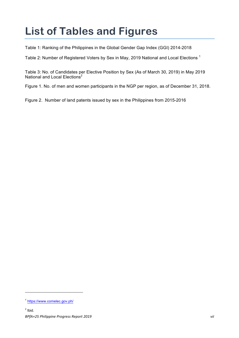## **List of Tables and Figures**

Table 1: Ranking of the Philippines in the Global Gender Gap Index (GGI) 2014-2018

Table 2: Number of Registered Voters by Sex in May, 2019 National and Local Elections<sup>1</sup>

Table 3: No. of Candidates per Elective Position by Sex (As of March 30, 2019) in May 2019 National and Local Elections<sup>2</sup>

Figure 1. No. of men and women participants in the NGP per region, as of December 31, 2018.

Figure 2. Number of land patents issued by sex in the Philippines from 2015-2016

<sup>1</sup> https://www.comelec.gov.ph/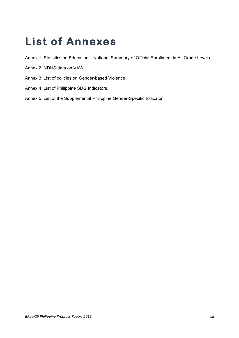## **List of Annexes**

Annex 1: Statistics on Education – National Summary of Official Enrollment in All Grade Levels

- Annex 2: NDHS data on VAW
- Annex 3: List of policies on Gender-based Violence
- Annex 4: List of Philippine SDG Indicators.
- Annex 5: List of the Supplemental Philippine Gender-Specific Indicator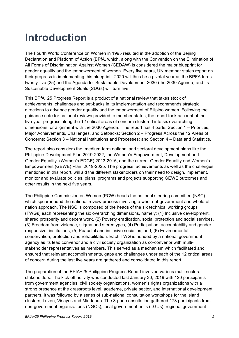## **Introduction**

The Fourth World Conference on Women in 1995 resulted in the adoption of the Beijing Declaration and Platform of Action (BPfA, which, along with the Convention on the Elimination of All Forms of Discrimination Against Women (CEDAW) is considered the major blueprint for gender equality and the empowerment of women. Every five years, UN member states report on their progress in implementing this blueprint. 2020 will thus be a pivotal year as the BPFA turns twenty-five (25) and the Agenda for Sustainable Development 2030 (the 2030 Agenda) and its Sustainable Development Goals (SDGs) will turn five.

This BPfA+25 Progress Report is a product of a national review that takes stock of achievements, challenges and set-backs in its implementation and recommends strategic directions to advance gender equality and the empowerment of Filipino women. Following the guidance note for national reviews provided to member states, the report took account of the five-year progress along the 12 critical areas of concern clustered into six overarching dimensions for alignment with the 2030 Agenda. The report has 4 parts: Section 1 – Priorities, Major Achievements, Challenges, and Setbacks; Section 2 – Progress Across the 12 Areas of Concerns; Section 3 – National Institutions and Processes; and Section 4 – Data and Statistics.

The report also considers the medium-term national and sectoral development plans like the Philippine Development Plan 2019-2022, the Women's Empowerment, Development and Gender Equality (Women's EDGE) 2013-2016, and the current Gender Equality and Women's Empowerment (GEWE) Plan, 2019-2025. The progress, achievements as well as the challenges mentioned in this report, will aid the different stakeholders on their need to design, implement, monitor and evaluate policies, plans, programs and projects supporting GEWE outcomes and other results in the next five years.

The Philippine Commission on Women (PCW) heads the national steering committee (NSC) which spearheaded the national review process involving a whole-of-government and whole-ofnation approach. The NSC is composed of the heads of the six technical working groups (TWGs) each representing the six overarching dimensions, namely; (1) Inclusive development, shared prosperity and decent work, (2) Poverty eradication, social protection and social services, (3) Freedom from violence, stigma and stereotypes, (4) Participation, accountability and genderresponsive institutions, (5) Peaceful and inclusive societies, and; (6) Environmental conservation, protection and rehabilitation. Each TWG is headed by a national government agency as its lead convenor and a civil society organization as co-convenor with multistakeholder representatives as members. This served as a mechanism which facilitated and ensured that relevant accomplishments, gaps and challenges under each of the 12 critical areas of concern during the last five years are gathered and consolidated in this report.

The preparation of the BPfA+25 Philippine Progress Report involved various multi-sectoral stakeholders. The kick-off activity was conducted last January 30, 2019 with 120 participants from government agencies, civil society organizations, women's rights organizations with a strong presence at the grassroots level, academe, private sector, and international development partners. It was followed by a series of sub-national consultation workshops for the island clusters; Luzon, Visayas and Mindanao. The 3-part consultation gathered 173 participants from non-government organizations (NGOs), local government units (LGUs), regional government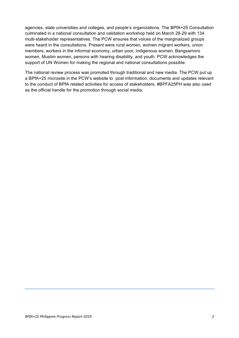agencies, state universities and colleges, and people's organizations. The BPfA+25 Consultation culminated in a national consultation and validation workshop held on March 28-29 with 134 multi-stakeholder representatives. The PCW ensures that voices of the marginalized groups were heard in the consultations. Present were rural women, women migrant workers, union members, workers in the informal economy, urban poor, indigenous women, Bangsamoro women, Muslim women, persons with hearing disability, and youth. PCW acknowledges the support of UN Women for making the regional and national consultations possible.

The national review process was promoted through traditional and new media. The PCW put up a BPfA+25 microsite in the PCW's website to post information, documents and updates relevant to the conduct of BPfA related activities for access of stakeholders. #BPFA25PH was also used as the official handle for the promotion through social media.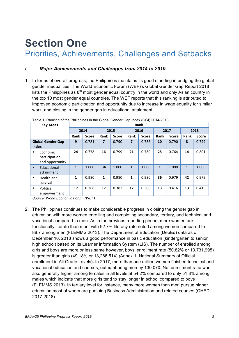### **Section One** Priorities, Achievements, Challenges and Setbacks

#### *I. Major Achievements and Challenges from 2014 to 2019*

1. In terms of overall progress, the Philippines maintains its good standing in bridging the global gender inequalities. The World Economic Forum (WEF)'s Global Gender Gap Report 2018 lists the Philippines as  $8<sup>th</sup>$  most gender equal country in the world and only Asian country in the top 10 most gender equal countries. The WEF reports that this ranking is attributed to improved economic participation and opportunity due to increase in wage equality for similar work, and closing in the gender gap in educational attainment.

|              | <b>Key Areas</b>                             | Rank |                              |                |              |                |              |              |              |              |              |
|--------------|----------------------------------------------|------|------------------------------|----------------|--------------|----------------|--------------|--------------|--------------|--------------|--------------|
|              |                                              |      | 2014<br>2015<br>2016<br>2017 |                |              |                |              |              |              |              | 2018         |
|              |                                              | Rank | <b>Score</b>                 | Rank           | <b>Score</b> | Rank           | <b>Score</b> | Rank         | <b>Score</b> | Rank         | <b>Score</b> |
|              | <b>Global Gender Gap</b>                     | 9    | 0.781                        | $\overline{7}$ | 0.790        | $\overline{7}$ | 0.786        | 10           | 0.790        | 8            | 0.799        |
| <b>Index</b> |                                              |      |                              |                |              |                |              |              |              |              |              |
| ٠            | Economic<br>participation<br>and opportunity | 24   | 0.778                        | 16             | 0.799        | 21             | 0.780        | 25           | 0.764        | 14           | 0.801        |
| $\bullet$    | Educational<br>attainment                    | 1    | 1.000                        | 34             | 1.000        | $\mathbf{1}$   | 1.000        | $\mathbf{1}$ | 1.000        | $\mathbf{1}$ | 1.000        |
| ٠            | Health and<br>survival                       | 1    | 0.980                        | $\mathbf{1}$   | 0.980        | 1              | 0.980        | 36           | 0.979        | 42           | 0.979        |
| ٠            | Political<br>empowerment                     | 17   | 0.368                        | 17             | 0.382        | 17             | 0.386        | 13           | 0.416        | 13           | 0.416        |

| Table 1: Ranking of the Philippines in the Global Gender Gap Index (GGI) 2014-2018 |  |  |
|------------------------------------------------------------------------------------|--|--|
|                                                                                    |  |  |

*Source: World Economic Forum (WEF)*

2. The Philippines continues to make considerable progress in closing the gender gap in education with more women enrolling and completing secondary, tertiary, and technical and vocational compared to men. As in the previous reporting period, more women are functionally literate than men, with 92.7% literacy rate noted among women compared to 88.7 among men (FLEMMS 2013). The Department of Education (DepEd) data as of December 10, 2018 shows a good performance in basic education (kindergarten to senior high school) based on its Learner Information System (LIS). The number of enrolled among girls and boys are more or less same however, boys' enrollment rate (50.82% or 13,731,995) is greater than girls (49.18% or 13,286,514) *(*Annex 1: National Summary of Official enrollment in All Grade Levels**).** In 2017, more than one million women finished technical and vocational education and courses, outnumbering men by 130,070. Net enrollment ratio was also generally higher among females in all levels at 54.2% compared to only 51.8% among males which indicate that more girls tend to stay longer in school compared to boys (FLEMMS 2013). In tertiary level for instance, many more women than men pursue higher education most of whom are pursuing Business Administration and related courses (CHED, 2017-2018).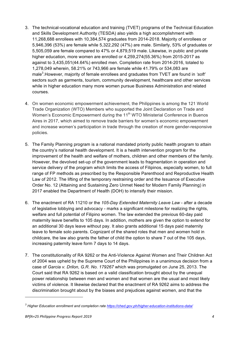- 3. The technical-vocational education and training (TVET) programs of the Technical Education and Skills Development Authority (TESDA) also yields a high accomplishment with 11,268,688 enrollees with 10,384,574 graduates from 2014-2018. Majority of enrollees or 5,946,396 (53%) are female while 5,322,292 (47%) are male. Similarly, 53% of graduates or 5,505,059 are female compared to 47% or 4,879,519 male. Likewise, in public and private higher education, more women are enrolled or 4,259,274(55.36%) from 2015-2017 as against to 3,435,051(44.64%) enrolled men. Completion rate from 2014-2016, totaled to 1,278,049 wherein, 58.21% or 743,966 are female while 41.79% or 534,083 are male<sup>3</sup>.However, majority of female enrollees and graduates from TVET are found in *'soft'* sectors such as garments, tourism, community development, healthcare and other services while in higher education many more women pursue Business Administration and related courses.
- 4. On women economic empowerment achievement, the Philippines is among the 121 World Trade Organization (WTO) Members who supported the Joint Declaration on Trade and Women's Economic Empowerment during the 11<sup>th</sup> WTO Ministerial Conference in Buenos Aires in 2017, which aimed to remove trade barriers for women's economic empowerment and increase women's participation in trade through the creation of more gender-responsive policies.
- 5. The Family Planning program is a national mandated priority public health program to attain the country's national health development. It is a health intervention program for the improvement of the health and welfare of mothers, children and other members of the family. However, the devolved set-up of the government leads to fragmentation in operation and service delivery of the program which limits the access of Filipinos, especially women, to full range of FP methods as prescribed by the Responsible Parenthood and Reproductive Health Law of 2012. The lifting of the temporary restraining order and the Issuance of Executive Order No. 12 (Attaining and Sustaining Zero Unmet Need for Modern Family Planning) in 2017 enabled the Department of Health (DOH) to intensify their mission.
- 6. The enactment of RA 11210 or the *105-Day Extended Maternity Leave Law* after a decade of legislative lobbying and advocacy - marks a significant milestone for realizing the rights, welfare and full potential of Filipino women. The law extended the previous 60-day paid maternity leave benefits to 105 days. In addition, mothers are given the option to extend for an additional 30 days leave without pay. It also grants additional 15 days paid maternity leave to female solo parents. Cognizant of the shared roles that men and women hold in childcare, the law also grants the father of child the option to share 7 out of the 105 days, increasing paternity leave form 7 days to 14 days.
- 7. The constitutionality of RA 9262 or the Anti-Violence Against Women and Their Children Act of 2004 was upheld by the Supreme Court of the Philippines in a unanimous decision from a case of *Garcia v. Drilon, G.R. No. 179267* which was promulgated on June 25, 2013. The Court said that RA 9262 is based on a valid classification brought about by the unequal power relationship between men and women and that women are the usual and most likely victims of violence. It likewise declared that the enactment of RA 9262 aims to address the discrimination brought about by the biases and prejudices against women, and that the

*<sup>3</sup> Higher Education enrollment and completion rate https://ched.gov.ph/higher-education-institutions-data/*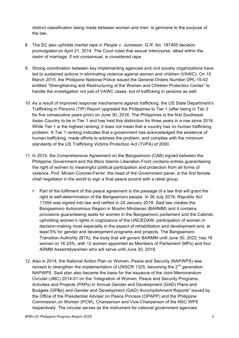distinct classification being made between women and men is germane to the purpose of the law.

- 8. The SC also upholds marital rape in *People v. Jumawan, G.R. No. 187495* decision promulgated on April 21, 2014. The Court ruled that sexual intercourse, albeit within the realm of marriage, if not consensual, is considered rape.
- 9. Strong coordination between key implementing agencies and civil society organizations have led to sustained actions in eliminating violence against women and children (VAWC). On 10 March 2015, the Philippine National Police issued the General Orders Number DPL-15-02 entitled "Strengthening and Restructuring of the Women and Children Protection Center" to handle the investigation not just of VAWC cases, but of trafficking in persons as well.
- 10. As a result of improved response mechanisms against trafficking, the US State Department's Trafficking in Persons (TIP) Report upgraded the Philippines to Tier 1 (after being in Tier 2 for five consecutive years prior) on June 30, 2016. The Philippines is the first Southeast Asian Country to be in Tier 1 and has held this distinction for three years in a row since 2016. While Tier 1 is the highest ranking, it does not mean that a country has no human trafficking problem. A Tier 1 ranking indicates that a government has acknowledged the existence of human trafficking, made efforts to address the problem, and complies with the minimum standards of the US Trafficking Victims Protection Act (TVPA) of 2000.
- 11. In 2014, the Comprehensive Agreement on the Bangsamoro (CAB) signed between the Philippine Government and the Moro Islamic Liberation Front contains entries guaranteeing the right of women to meaningful political participation and protection from all forms of violence. Prof. Miriam Coronel-Ferrer, the head of the Government panel, is the first female chief negotiator in the world to sign a final peace accord with a rebel group.
	- Part of the fulfilment of this peace agreement is the passage of a law that will grant the right to self-determination of the Bangsamoro people. In 26 July 2018, Republic Act 11054 was signed into law and ratified in 25 January 2019. Said law creates the Bangsamoro Autonomous Region in Muslim Mindanao (BARMM) and it contains provisions guaranteeing seats for women in the Bangsamoro parliament and the Cabinet, upholding women's rights in cognizance of the UNCEDAW, participation of women in decision-making most especially in the aspect of rehabilitation and development and, at least 5% for gender and development programs and projects. The Bangsamoro Transition Authority (BTA), the body that will govern BARMM until June 30, 2022, has 16 women or 16.33%, with 12 women appointed as Members of Parliament (MPs) and four ARMM Assemblywomen who will serve until June 30, 2019.
- 12. Also in 2014, the National Action Plan on Women, Peace and Security (NAPWPS) was revised to strengthen the implementation of UNSCR 1325, becoming the  $2^{nd}$  generation NAPWPS. Said plan also became the basis for the issuance of the Joint Memorandum Circular (JMC) 2014-01 on the "Integration of Women, Peace and Security Programs, Activities and Projects (PAPs) in Annual Gender and Development (GAD) Plans and Budgets (GPBs) and Gender and Development (GAD) Accomplishment Reports" issued by the Office of the Presidential Adviser on Peace Process (OPAPP) and the Philippine Commission on Women (PCW), Chairperson and Vice-Chairperson of the NSC WPS respectively. The circular serves as the instrument for national government agencies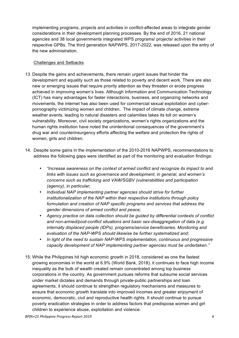implementing programs, projects and activities in conflict-affected areas to integrate gender considerations in their development planning processes. By the end of 2016, 21 national agencies and 38 local governments integrated WPS programs/ projects/ activities in their respective GPBs. The third generation NAPWPS, 2017-2022, was released upon the entry of the new administration.

#### Challenges and Setbacks

- 13. Despite the gains and achievements, there remain urgent issues that hinder the development and equality such as those related to poverty and decent work. There are also new or emerging issues that require priority attention as they threaten or erode progress achieved in improving women's lives. Although Information and Communication Technology (ICT) has many advantages for faster interactions, business, and organizing networks and movements, the internet has also been used for commercial sexual exploitation and cyberpornography victimizing women and children. The impact of climate change, extreme weather events, leading to natural disasters and calamities takes its toll on women's vulnerability. Moreover, civil society organizations, women's rights organizations and the human rights institution have noted the unintentional consequences of the government's drug war and counterinsurgency efforts affecting the welfare and protection the rights of women, girls and children.
- 14. Despite some gains in the implementation of the 2010-2016 NAPWPS, recommendations to address the following gaps were identified as part of the monitoring and evaluation findings:
	- *"Increase awareness on the context of armed conflict and recognize its impact to and links with issues such as governance and development, in general, and women's concerns such as trafficking and VAW/SGBV (vulnerabilities and participation (agency), in particular;*
	- *Individual NAP implementing partner agencies should strive for further institutionalization of the NAP within their respective institutions through policy formulation and creation of NAP specific programs and services that address the gender dimensions of armed conflict and peace;*
	- *Agency practice on data collection should be guided by differential contexts of conflict and non-armed/post-conflict situations and basic sex-disaggregation of data (e.g. internally displaced people (IDPs), programs/service beneficiaries. Monitoring and evaluation of the NAP-WPS should likewise be further systematized and;*
	- *In light of the need to sustain NAP-WPS implementation, continuous and progressive capacity development of NAP implementing partner agencies must be undertaken."*
- 15. While the Philippines hit high economic growth in 2018, considered as one the fastest growing economies in the world at 6.9% (World Bank, 2018), it continues to face high income inequality as the bulk of wealth created remain concentrated among top business corporations in the country. As government pursues reforms that subsume social services under market dictates and demands through private-public partnerships and loan agreements, it should continue to strengthen regulatory mechanisms and measures to ensure that economic growth translate into improved incomes and greater enjoyment of economic, democratic, civil and reproductive health rights. It should continue to pursue poverty eradication strategies in order to address factors that predispose women and girl children to experience abuse, exploitation and violence.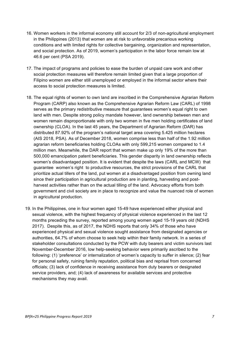- 16. Women workers in the informal economy still account for 2/3 of non-agricultural employment in the Philippines (2013) that women are at risk to unfavorable precarious working conditions and with limited rights for collective bargaining, organization and representation, and social protection. As of 2019, women's participation in the labor force remain low at 46.6 per cent (PSA 2019).
- 17. The impact of programs and policies to ease the burden of unpaid care work and other social protection measures will therefore remain limited given that a large proportion of Filipino women are either still unemployed or employed in the informal sector where their access to social protection measures is limited.
- 18. The equal rights of women to own land are inscribed in the Comprehensive Agrarian Reform Program (CARP) also known as the Comprehensive Agrarian Reform Law (CARL) of 1998 serves as the primary redistributive measure that guarantees women's equal right to own land with men. Despite strong policy mandate however, land ownership between men and women remain disproportionate with only two women in five men holding certificates of land ownership (CLOA). In the last 45 years, the Department of Agrarian Reform (DAR) has distributed 87.92% of the program's national target area covering 5.425 million hectares (AIS 2018, PSA). As of December 2018, women comprise less than half of the 1.92 million agrarian reform beneficiaries holding CLOAs with only 599,215 women compared to 1.4 million men. Meanwhile, the DAR report that women make up only 19% of the more than 500,000 emancipation patent beneficiaries. This gender disparity in land ownership reflects women's disadvantaged position. It is evident that despite the laws (CARL and MCW) that guarantee women's right to productive resources, the strict provisions of the CARL that prioritize actual tillers of the land, put women at a disadvantaged position from owning land since their participation in agricultural production are in planting, harvesting and postharvest activities rather than on the actual tilling of the land. Advocacy efforts from both government and civil society are in place to recognize and value the nuanced role of women in agricultural production.
- 19. In the Philippines, one in four women aged 15-49 have experienced either physical and sexual violence, with the highest frequency of physical violence experienced in the last 12 months preceding the survey, reported among young women aged 15-19 years old (NDHS 2017). Despite this, as of 2017, the NDHS reports that only 34% of those who have experienced physical and sexual violence sought assistance from designated agencies or authorities, 64.7% of whom choose to seek help within their family network. In a series of stakeholder consultations conducted by the PCW with duty bearers and victim survivors last November-December 2016, low help-seeking behavior were primarily ascribed to the following: (1) 'preference' or internalization of women's capacity to suffer in silence; (2) fear for personal safety, ruining family reputation, political bias and reprisal from concerned officials; (3) lack of confidence in receiving assistance from duty bearers or designated service providers, and; (4) lack of awareness for available services and protective mechanisms they may avail.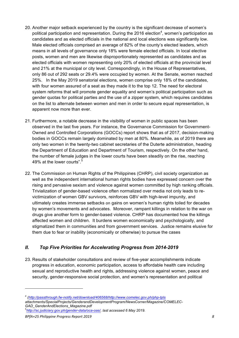- 20. Another major setback experienced by the country is the significant decrease of women's political participation and representation. During the 2016 election<sup>4</sup>, women's participation as candidates and as elected officials in the national and local elections was significantly low. Male elected officials comprised an average of 82% of the county's elected leaders, which means in all levels of governance only 18% were female elected officials. In local elective posts, women and men are likewise disproportionately represented as candidates and as elected officials with women representing only 20% of elected officials at the provincial level and 21% at the municipal or city level. Correspondingly, in the House of Representatives, only 86 out of 292 seats or 29.4% were occupied by women. At the Senate, women reached 25%. In the May 2019 senatorial elections, women comprise only 18% of the candidates, with four women assured of a seat as they made it to the top 12. The need for electoral system reforms that will promote gender equality and women's political participation such as gender quotas for political parties and the use of a zipper system, which requires candidates on the list to alternate between women and men in order to secure equal representation, is apparent now more than ever.
- 21. Furthermore, a notable decrease in the visibility of women in public spaces has been observed in the last five years. For instance, the Governance Commission for Government-Owned and Controlled Corporations (GOCCs) report shows that as of 2017, decision-making bodies in GOCCs remain largely dominated by men at 80%. Meanwhile, as of 2019 there are only two women in the twenty-two cabinet secretaries of the Duterte administration, heading the Department of Education and Department of Tourism, respectively. On the other hand, the number of female judges in the lower courts have been steadily on the rise, reaching 49% at the lower courts".<sup>5</sup>
- 22. The Commission on Human Rights of the Philippines (CHRP), civil society organization as well as the independent international human rights bodies have expressed concern over the rising and pervasive sexism and violence against women committed by high ranking officials. Trivialization of gender-based violence often normalized over media not only leads to revictimization of women GBV survivors, reinforces GBV with high-level impunity, and ultimately creates immense setbacks on gains on women's human rights toiled for decades by women's movements and advocates. Moreover, rampant killings in relation to the war on drugs give another form to gender-based violence. CHRP has documented how the killings affected women and children. It burdens women economically and psychologically, and stigmatized them in communities and from government services. Justice remains elusive for them due to fear or inability (economically or otherwise) to pursue the cases

#### *II. Top Five Priorities for Accelerating Progress from 2014-2019*

23. Results of stakeholder consultations and review of five-year accomplishments indicate progress in education, economic participation, access to affordable health care including sexual and reproductive health and rights, addressing violence against women, peace and security, gender-responsive social protection, and women's representation and political

*<sup>4</sup> (http://passthrough.fw-notify.net/download/406568/http://www.comelec.gov.ph/php-tpls attachments/SpecialProjects/GenderandDevelopmentProgram/NewsCorner/Magazine/COMELEC-GAD\_GenderAndElections\_Magazine.pdf* 

<sup>5</sup> *http://sc.judiciary.gov.ph/gender-data/oca-oas/, last accessed 6 May 2019.*

*BPfA+25 Philippine Progress Report 2019 8*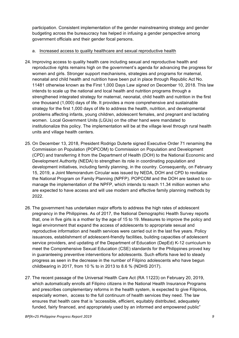participation. Consistent implementation of the gender mainstreaming strategy and gender budgeting across the bureaucracy has helped in infusing a gender perspective among government officials and their gender focal persons.

#### a. Increased access to quality healthcare and sexual reproductive health

- 24. Improving access to quality health care including sexual and reproductive health and reproductive rights remains high on the government's agenda for advancing the progress for women and girls. Stronger support mechanisms, strategies and programs for maternal, neonatal and child health and nutrition have been put in place through Republic Act No. 11481 otherwise known as the First 1,000 Days Law *signed* on December 10, 2018. This law intends to scale up the national and local health and nutrition programs through a strengthened integrated strategy for maternal, neonatal, child health and nutrition in the first one thousand (1,000) days of life. It provides a more comprehensive and sustainable strategy for the first 1,000 days of life to address the health, nutrition, and developmental problems affecting infants, young children, adolescent females, and pregnant and lactating women. Local Government Units (LGUs) on the other hand were mandated to institutionalize this policy. The implementation will be at the village level through rural health units and village health centers.
- 25. On December 13, 2018, President Rodrigo Duterte signed Executive Order 71 renaming the Commission on Population (POPCOM) to Commission on Population and Development (CPD) and transferring it from the Department of Health (DOH) to the National Economic and Development Authority (NEDA) to strengthen its role in coordinating population and development initiatives, including family planning, in the country. Consequently, on February 15, 2019, a Joint Memorandum Circular was issued by NEDA, DOH and CPD to revitalize the National Program on Family Planning (NPFP). POPCOM and the DOH are tasked to comanage the implementation of the NPFP, which intends to reach 11.34 million women who are expected to have access and will use modern and effective family planning methods by 2022.
- 26. The government has undertaken major efforts to address the high rates of adolescent pregnancy in the Philippines. As of 2017, the National Demographic Health Survey reports that, one in five girls is a mother by the age of 15 to 19. Measures to improve the policy and legal environment that expand the access of adolescents to appropriate sexual and reproductive information and health services were carried out in the last five years. Policy issuances, establishment of adolescent-friendly facilities, building capacities of adolescent service providers, and updating of the Department of Education (DepEd) K-12 curriculum to meet the Comprehensive Sexual Education (CSE) standards for the Philippines proved key in guaranteeing preventive interventions for adolescents. Such efforts have led to steady progress as seen in the decrease in the number of Filipino adolescents who have begun childbearing in 2017, from 10 % to in 2013 to 8.6 % (NDHS 2017).
- 27. The recent passage of the Universal Health Care Act (RA 11223) on February 20, 2019, which automatically enrolls all Filipino citizens in the National Health Insurance Programs and prescribes complementary reforms in the health system, is expected to give Filipinos, especially women, access to the full continuum of health services they need. The law ensures that health care that is "accessible, efficient, equitably distributed, adequately funded, fairly financed, and appropriately used by an informed and empowered public"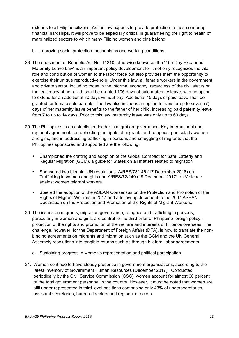extends to all Filipino citizens. As the law expects to provide protection to those enduring financial hardships, it will prove to be especially critical in guaranteeing the right to health of marginalized sectors to which many Filipino women and girls belong.

#### b. Improving social protection mechanisms and working conditions

- 28. The enactment of Republic Act No. 11210, otherwise known as the "105-Day Expanded Maternity Leave Law" is an important policy development for it not only recognizes the vital role and contribution of women to the labor force but also provides them the opportunity to exercise their unique reproductive role. Under this law, all female workers in the government and private sector, including those in the informal economy, regardless of the civil status or the legitimacy of her child, shall be granted 105 days of paid maternity leave, with an option to extend for an additional 30 days without pay. Additional 15 days of paid leave shall be granted for female solo parents. The law also includes an option to transfer up to seven (7) days of her maternity leave benefits to the father of her child, increasing paid paternity leave from 7 to up to 14 days. Prior to this law, maternity leave was only up to 60 days.
- 29. The Philippines is an established leader in migration governance. Key international and regional agreements on upholding the rights of migrants and refugees, particularly women and girls, and in addressing trafficking in persons and smuggling of migrants that the Philippines sponsored and supported are the following:
	- Championed the crafting and adoption of the Global Compact for Safe, Orderly and Regular Migration (GCM), a guide for States on all matters related to migration
	- Sponsored two biennial UN resolutions: A/RES/73/146 (17 December 2018) on Trafficking in women and girls and A/RES/72/149 (19 December 2017) on Violence against women migrant workers
	- Steered the adoption of the ASEAN Consensus on the Protection and Promotion of the Rights of Migrant Workers in 2017 and a follow-up document to the 2007 ASEAN Declaration on the Protection and Promotion of the Rights of Migrant Workers.
- 30. The issues on migrants, migration governance, refugees and trafficking in persons, particularly in women and girls, are central to the third pillar of Philippine foreign policy protection of the rights and promotion of the welfare and interests of Filipinos overseas. The challenge, however, for the Department of Foreign Affairs (DFA), is how to translate the nonbinding agreements on migrants and migration such as the GCM and the UN General Assembly resolutions into tangible returns such as through bilateral labor agreements.
	- c. Sustaining progress in women's representation and political participation
- 31. Women continue to have steady presence in government organizations, according to the latest Inventory of Government Human Resources (December 2017). Conducted periodically by the Civil Service Commission (CSC), women account for almost 60 percent of the total government personnel in the country. However, it must be noted that women are still under-represented in third level positions comprising only 43% of undersecretaries, assistant secretaries, bureau directors and regional directors.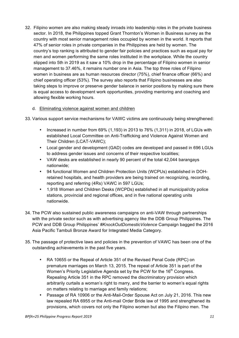32. Filipino women are also making steady inroads into leadership roles in the private business sector. In 2018, the Philippines topped Grant Thornton's Women in Business survey as the country with most senior management roles occupied by women in the world. It reports that 47% of senior roles in private companies in the Philippines are held by women. The country's top ranking is attributed to gender fair policies and practices such as equal pay for men and women performing the same roles instituted in the workplace. While the country slipped into 5th in 2019 as it saw a 10% drop in the percentage of Filipino women in senior management to 37.46%, it remains number one in Asia. The top three roles of Filipino women in business are as human resources director (75%), chief finance officer (66%) and chief operating officer (53%). The survey also reports that Filipino businesses are also taking steps to improve or preserve gender balance in senior positions by making sure there is equal access to development work opportunities, providing mentoring and coaching and allowing flexible working hours.

#### d. Eliminating violence against women and children

- 33. Various support service mechanisms for VAWC victims are continuously being strengthened:
	- Increased in number from 69% (1,193) in 2013 to 76% (1,311) in 2018, of LGUs with established Local Committee on Anti-Trafficking and Violence Against Women and Their Children (LCAT-VAWC);
	- Local gender and development (GAD) codes are developed and passed in 696 LGUs to address gender issues and concerns of their respective localities;
	- VAW desks are established in nearly 90 percent of the total 42,044 barangays nationwide;
	- 94 functional Women and Children Protection Units (WCPUs) established in DOHretained hospitals, and health providers are being trained on recognizing, recording, reporting and referring (4Rs) VAWC in 597 LGUs;
	- 1,918 Women and Children Desks (WCPDs) established in all municipal/city police stations, provincial and regional offices, and in five national operating units nationwide.
- 34. The PCW also sustained public awareness campaigns on anti-VAW through partnerships with the private sector such as with advertising agency like the DDB Group Philippines. The PCW and DDB Group Philippines' *#KnockOutDomesticViolence* Campaign bagged the 2016 Asia Pacific Tambuli Bronze Award for Integrated Media Category.
- 35. The passage of protective laws and policies in the prevention of VAWC has been one of the outstanding achievements in the past five years.
	- RA 10655 or the Repeal of Article 351 of the Revised Penal Code (RPC) on premature marriages on March 13, 2015. The repeal of Article 351 is part of the Women's Priority Legislative Agenda set by the PCW for the 16<sup>th</sup> Congress. Repealing Article 351 in the RPC removed the discriminatory provision which arbitrarily curtails a woman's right to marry, and the barrier to women's equal rights on matters relating to marriage and family relations;
	- Passage of RA 10906 or the Anti-Mail-Order Spouse Act on July 21, 2016. This new law repealed RA 6955 or the Anti-mail Order Bride law of 1995 and strengthened its provisions, which covers not only the Filipino women but also the Filipino men. The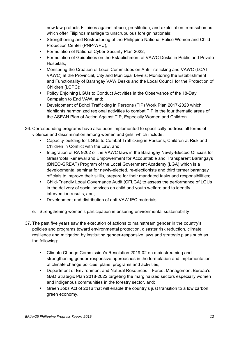new law protects Filipinos against abuse, prostitution, and exploitation from schemes which offer Filipinos marriage to unscrupulous foreign nationals;

- Strengthening and Restructuring of the Philippine National Police Women and Child Protection Center (PNP-WPC);
- Formulation of National Cyber Security Plan 2022;
- Formulation of Guidelines on the Establishment of VAWC Desks in Public and Private Hospitals;
- Monitoring the Creation of Local Committees on Anti-Trafficking and VAWC (LCAT-VAWC) at the Provincial, City and Municipal Levels; Monitoring the Establishment and Functionality of Barangay VAW Desks and the Local Council for the Protection of Children (LCPC);
- Policy Enjoining LGUs to Conduct Activities in the Observance of the 18-Day Campaign to End VAW, and;
- Development of Bohol Trafficking in Persons (TIP) Work Plan 2017-2020 which highlights harmonized regional activities to combat TIP in the four thematic areas of the ASEAN Plan of Action Against TIP, Especially Women and Children.
- 36. Corresponding programs have also been implemented to specifically address all forms of violence and discrimination among women and girls, which include:
	- Capacity-building for LGUs to Combat Trafficking in Persons, Children at Risk and Children in Conflict with the Law, and;
	- Integration of RA 9262 or the VAWC laws in the Barangay Newly-Elected Officials for Grassroots Renewal and Empowerment for Accountable and Transparent Barangays (BNEO-GREAT) Program of the Local Government Academy (LGA) which is a developmental seminar for newly-elected, re-electionists and third termer barangay officials to improve their skills, prepare for their mandated tasks and responsibilities;
	- Child-Friendly Local Governance Audit (CFLGA) to assess the performance of LGUs in the delivery of social services on child and youth welfare and to identify intervention results, and;
	- Development and distribution of anti-VAW IEC materials.
	- e. Strengthening women's participation in ensuring environmental sustainability
- 37. The past five years saw the execution of actions to mainstream gender in the country's policies and programs toward environmental protection, disaster risk reduction, climate resilience and mitigation by instituting gender-responsive laws and strategic plans such as the following:
	- Climate Change Commission's Resolution 2019-02 on mainstreaming and strengthening gender-responsive approaches in the formulation and implementation of climate change policies, plans, programs and activities;
	- Department of Environment and Natural Resources Forest Management Bureau's GAD Strategic Plan 2018-2022 targeting the marginalized sectors especially women and indigenous communities in the forestry sector, and;
	- Green Jobs Act of 2016 that will enable the country's just transition to a low carbon green economy.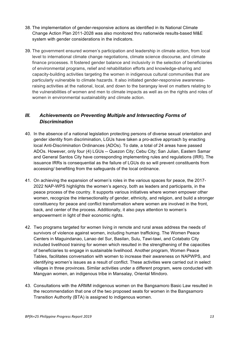- 38. The implementation of gender-responsive actions as identified in its National Climate Change Action Plan 2011-2028 was also monitored thru nationwide results-based M&E system with gender considerations in the indicators.
- 39. The government ensured women's participation and leadership in climate action, from local level to international climate change negotiations, climate science discourse, and climate finance processes. It fostered gender balance and inclusivity in the selection of beneficiaries of environmental programs, relief and rehabilitation efforts and knowledge-sharing and capacity-building activities targeting the women in indigenous cultural communities that are particularly vulnerable to climate hazards. It also initiated gender-responsive awarenessraising activities at the national, local, and down to the barangay level on matters relating to the vulnerabilities of women and men to climate impacts as well as on the rights and roles of women in environmental sustainability and climate action.

#### *III. Achievements on Preventing Multiple and Intersecting Forms of Discrimination*

- 40. In the absence of a national legislation protecting persons of diverse sexual orientation and gender identity from discrimination, LGUs have taken a pro-active approach by enacting local Anti-Discrimination Ordinances (ADOs). To date, a total of 24 areas have passed ADOs. However, only four (4) LGUs -- Quezon City; Cebu City; San Julian, Eastern Samar and General Santos City have corresponding implementing rules and regulations (IRR). The issuance IRRs is consequential as the failure of LGUs do so will prevent constituents from accessing/ benefiting from the safeguards of the local ordinance.
- 41. On achieving the expansion of women's roles in the various spaces for peace, the 2017- 2022 NAP-WPS highlights the women's agency, both as leaders and participants, in the peace process of the country. It supports various initiatives where women empower other women, recognize the intersectionality of gender, ethnicity, and religion, and build a stronger constituency for peace and conflict transformation where women are involved in the front, back, and center of the process. Additionally, it also pays attention to women's empowerment in light of their economic rights.
- 42. Two programs targeted for women living in remote and rural areas address the needs of survivors of violence against women, including human trafficking. The Women Peace Centers in Maguindanao, Lanao del Sur, Basilan, Sulu, Tawi-tawi, and Cotabato City included livelihood training for women which resulted in the strengthening of the capacities of beneficiaries to engage in sustainable livelihood. Another program, Women Peace Tables, facilitates conversation with women to increase their awareness on NAPWPS, and identifying women's issues as a result of conflict. These activities were carried out in select villages in three provinces. Similar activities under a different program, were conducted with Mangyan women, an indigenous tribe in Mansalay, Oriental Mindoro.
- 43. Consultations with the ARMM indigenous women on the Bangsamoro Basic Law resulted in the recommendation that one of the two proposed seats for women in the Bangsamoro Transition Authority (BTA) is assigned to indigenous women.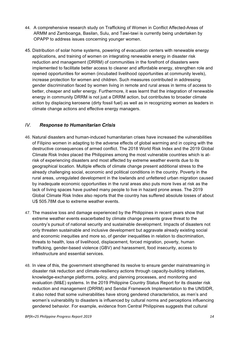- 44. A comprehensive research study on Trafficking of Women in Conflict Affected-Areas of ARMM and Zamboanga, Basilan, Sulu, and Tawi-tawi is currently being undertaken by OPAPP to address issues concerning younger women.
- 45. Distribution of solar home systems, powering of evacuation centers with renewable energy applications, and training of women on integrating renewable energy in disaster risk reduction and management (DRRM) of communities in the forefront of disasters were implemented to facilitate better access to cleaner and affordable energy, strengthen role and opened opportunities for women (incubated livelihood opportunities at community levels), increase protection for women and children. Such measures contributed in addressing gender discrimination faced by women living in remote and rural areas in terms of access to better, cheaper and safer energy. Furthermore, it was learnt that the integration of renewable energy in community DRRM is not just a DRRM action, but contributes to broader climate action by displacing kerosene (dirty fossil fuel) as well as in recognizing women as leaders in climate change actions and effective energy managers.

#### *IV. Response to Humanitarian Crisis*

- 46. Natural disasters and human-induced humanitarian crises have increased the vulnerabilities of Filipino women in adapting to the adverse effects of global warming and in coping with the destructive consequences of armed conflict. The 2018 World Risk Index and the 2019 Global Climate Risk Index placed the Philippines among the most vulnerable countries which is atrisk of experiencing disasters and most affected by extreme weather events due to its geographical location. Multiple effects of climate change present additional stress to the already challenging social, economic and political conditions in the country. Poverty in the rural areas, unregulated development in the lowlands and unfettered urban migration caused by inadequate economic opportunities in the rural areas also puts more lives at risk as the lack of living spaces have pushed many people to live in hazard prone areas. The 2019 Global Climate Risk Index also reports that the country has suffered absolute losses of about U\$ 505.78M due to extreme weather events.
- 47. The massive loss and damage experienced by the Philippines in recent years show that extreme weather events exacerbated by climate change presents grave threat to the country's pursuit of national security and sustainable development. Impacts of disasters not only threaten sustainable and inclusive development but aggravate already existing social and economic inequities and more so, of gender inequalities in relation to discrimination, threats to health, loss of livelihood, displacement, forced migration, poverty, human trafficking, gender-based violence (GBV) and harassment, food insecurity, access to infrastructure and essential services.
- 48. In view of this, the government strengthened its resolve to ensure gender mainstreaming in disaster risk reduction and climate-resiliency actions through capacity-building initiatives, knowledge-exchange platforms, policy, and planning processes, and monitoring and evaluation (M&E) systems. In the 2019 Philippine Country Status Report for its disaster risk reduction and management (DRRM) and Sendai Framework Implementation to the UNSIDR, it also noted that some vulnerabilities have strong gendered characteristics, as men's and women's vulnerability to disasters is influenced by cultural norms and perceptions influencing gendered behavior. For example, evidence from Central Philippines suggests that cultural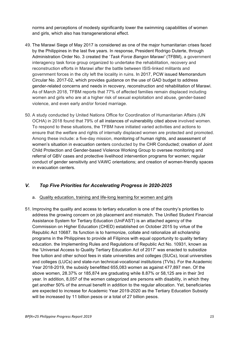norms and perceptions of modesty significantly lower the swimming capabilities of women and girls, which also has transgenerational effect.

- 49. The Marawi Siege of May 2017 is considered as one of the major humanitarian crises faced by the Philippines in the last five years. In response, President Rodrigo Duterte, through Administration Order No. 3 created the '*Task Force Bangon Marawi'* (TFBM), a government interagency task force group organized to undertake the rehabilitation, recovery and reconstruction efforts in Marawi after the battle between ISIS-linked militants and government forces in the city left the locality in ruins. In 2017, PCW issued Memorandum Circular No. 2017-02, which provides guidance on the use of GAD budget to address gender-related concerns and needs in recovery, reconstruction and rehabilitation of Marawi. As of March 2018, TFBM reports that 77% of affected families remain displaced including women and girls who are at a higher risk of sexual exploitation and abuse, gender-based violence, and even early and/or forced marriage.
- 50. A study conducted by United Nations Office for Coordination of Humanitarian Affairs (UN OCHA) in 2018 found that 79% of all instances of vulnerability cited above involved women. To respond to these situations, the TFBM have initiated varied activities and actions to ensure that the welfare and rights of internally displaced women are protected and promoted. Among these include: a five-day mission, monitoring of human rights, and assessment of women's situation in evacuation centers conducted by the CHR Conducted; creation of Joint Child Protection and Gender-based Violence Working Group to oversee monitoring and referral of GBV cases and protective livelihood intervention programs for women; regular conduct of gender sensitivity and VAWC orientations; and creation of women-friendly spaces in evacuation centers.

#### *V. Top Five Priorities for Accelerating Progress in 2020-2025*

#### a. Quality education, training and life-long learning for women and girls

51. Improving the quality and access to tertiary education is one of the country's priorities to address the growing concern on job placement and mismatch. The Unified Student Financial Assistance System for Tertiary Education (UniFAST) is an attached agency of the Commission on Higher Education (CHED) established on October 2015 by virtue of the Republic Act 10687. Its function is to harmonize, collate and rationalize all scholarship programs in the Philippines to provide all Filipinos with equal opportunity to quality tertiary education. the Implementing Rules and Regulations of Republic Act No. 10931, known as the 'Universal Access to Quality Tertiary Education Act of 2017' was enacted to subsidize free tuition and other school fees in state universities and colleges (SUCs), local universities and colleges (LUCs) and state-run technical-vocational institutions (TVIs). For the Academic Year 2018-2019, the subsidy benefitted 655,083 women as against 477,897 men. Of the above women, 28.37% or 185,874 are graduating while 8.87% or 58,125 are in their 3rd year. In addition, 8,057 of the women categorized are persons with disability, in which they get another 50% of the annual benefit in addition to the regular allocation. Yet, beneficiaries are expected to increase for Academic Year 2019-2020 as the Tertiary Education Subsidy will be increased by 11 billion pesos or a total of 27 billion pesos.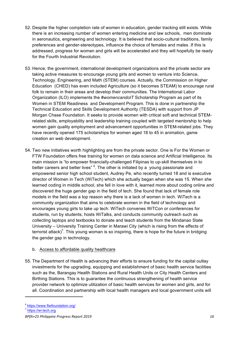- 52. Despite the higher completion rate of women in education, gender tracking still exists. While there is an increasing number of women entering medicine and law schools, men dominate in aeronautics, engineering and technology. It is believed that socio-cultural traditions, family preferences and gender-stereotypes, influence the choice of females and males .If this is addressed, progress for women and girls will be accelerated and they will hopefully be ready for the Fourth Industrial Revolution.
- 53. Hence, the government, international development organizations and the private sector are taking active measures to encourage young girls and women to venture into Science, Technology, Engineering, and Math (STEM) courses. Actually, the Commission on Higher Education (CHED) has even included Agriculture (so it becomes STEAM) to encourage rural folk to remain in their areas and develop their communities. The International Labor Organization (ILO) implements the *#womencandoIT* Scholarship Program as part of its Women in STEM Readiness and Development Program. This is done in partnership the Technical Education and Skills Development Authority (TESDA) with support from JP Morgan Chase Foundation. It seeks to provide women with critical soft and technical STEMrelated skills, employability and leadership training coupled with targeted mentorship to help women gain quality employment and advancement opportunities in STEM-related jobs. They have recently opened 175 scholarships for women aged 18 to 45 in animation, game creation an web development.
- 54. Two new initiatives worth highlighting are from the private sector. One is For the Women or FTW Foundation offers free training for women on data science and Artificial Intelligence. Its main mission is "to empower financially-challenged Filipinas to up-skill themselves in to better careers and better lives" <sup>6</sup>. The other is initiated by a young passionate and empowered senior high school student, Audrey Pe, who recently turned 18 and is executive director of Women in Tech (WiTech) which she actually began when she was 15. When she learned coding in middle school, she fell in love with it, learned more about coding online and discovered the huge gender gap in the field of tech. She found that lack of female role models in the field was a top reason why there is a lack of women in tech. WiTech is a community organization that aims to celebrate women in the field of technology and encourages young girls to take up tech. WiTech convenes WiTCon or conferences for students, run by students, hosts WiTalks, and conducts community outreach such as collecting laptops and textbooks to donate and teach students from the Mindanao State University – University Training Center in Marawi City (which is rising from the effects of terrorist attack)<sup>7</sup>. This young woman is so inspiring, there is hope for the future in bridging the gender gap in technology.

#### b. Access to affordable quality healthcare

55. The Department of Health is advancing their efforts to ensure funding for the capital outlay investments for the upgrading, equipping and establishment of basic health service facilities such as the, Barangay Health Stations and Rural Health Units or City Health Centers and Birthing Stations. This is to guarantee the continuous strengthening of health service provider network to optimize utilization of basic health services for women and girls, and for all. Coordination and partnership with local health managers and local government units will

<sup>6</sup> https://www.ftwfoundation.org/

<sup>&</sup>lt;sup>7</sup> https://wi-tech.org

*BPfA+25 Philippine Progress Report 2019 16*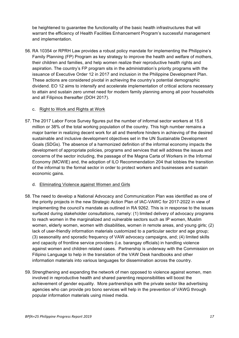be heightened to guarantee the functionality of the basic health infrastructures that will warrant the efficiency of Health Facilities Enhancement Program's successful management and implementation.

56. RA 10354 or RPRH Law provides a robust policy mandate for implementing the Philippine's Family Planning (FP) Program as key strategy to improve the health and welfare of mothers, their children and families, and help women realize their reproductive health rights and aspiration. The country's FP program sits in the administration's priority programs with the issuance of Executive Order 12 in 2017 and inclusion in the Philippine Development Plan. These actions are considered pivotal in achieving the country's potential demographic dividend. EO 12 aims to intensify and accelerate implementation of critical actions necessary to attain and sustain zero unmet need for modern family planning among all poor households and all Filipinos thereafter (DOH 2017).

#### c. Right to Work and Rights at Work

57. The 2017 Labor Force Survey figures put the number of informal sector workers at 15.6 million or 38% of the total working population of the country. This high number remains a major barrier in realizing decent work for all and therefore hinders in achieving of the desired sustainable and inclusive development objectives set in the UN Sustainable Development Goals (SDGs). The absence of a harmonized definition of the informal economy impacts the development of appropriate policies, programs and services that will address the issues and concerns of the sector including, the passage of the Magna Carta of Workers in the Informal Economy (MCWIE) and, the adoption of ILO Recommendation 204 that lobbies the transition of the informal to the formal sector in order to protect workers and businesses and sustain economic gains.

#### d. Eliminating Violence against Women and Girls

- 58. The need to develop a National Advocacy and Communication Plan was identified as one of the priority projects in the new Strategic Action Plan of IAC-VAWC for 2017-2022 in view of implementing the council's mandate as outlined in RA 9262. This is in response to the issues surfaced during stakeholder consultations, namely: (1) limited delivery of advocacy programs to reach women in the marginalized and vulnerable sectors such as IP women, Muslim women, elderly women, women with disabilities, women in remote areas, and young girls; (2) lack of user-friendly information materials customized to a particular sector and age group; (3) seasonality and sporadic frequency of VAW advocacy campaigns, and; (4) limited skills and capacity of frontline service providers (i.e. barangay officials) in handling violence against women and children related cases. Partnership is underway with the Commission on Filipino Language to help in the translation of the VAW Desk handbooks and other information materials into various languages for dissemination across the country.
- 59. Strengthening and expanding the network of men opposed to violence against women, men involved in reproductive health and shared parenting responsibilities will boost the achievement of gender equality. More partnerships with the private sector like advertising agencies who can provide pro bono services will help in the prevention of VAWG through popular information materials using mixed media.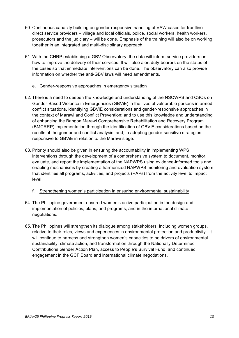- 60. Continuous capacity building on gender-responsive handling of VAW cases for frontline direct service providers – village and local officials, police, social workers, health workers, prosecutors and the judiciary – will be done. Emphasis of the training will also be on working together in an integrated and multi-disciplinary approach.
- 61. With the CHRP establishing a GBV Observatory, the data will inform service providers on how to improve the delivery of their services. It will also alert duty-bearers on the status of the cases so that immediate interventions can be done. The observatory can also provide information on whether the anti-GBV laws will need amendments.
	- e. Gender-responsive approaches in emergency situation
- 62. There is a need to deepen the knowledge and understanding of the NSCWPS and CSOs on Gender-Based Violence in Emergencies (GBViE) in the lives of vulnerable persons in armed conflict situations, identifying GBViE considerations and gender-responsive approaches in the context of Marawi and Conflict Prevention; and to use this knowledge and understanding of enhancing the Bangon Marawi Comprehensive Rehabilitation and Recovery Program (BMCRRP) implementation through the identification of GBViE considerations based on the results of the gender and conflict analysis; and, in adopting gender-sensitive strategies responsive to GBViE in relation to the Marawi siege.
- 63. Priority should also be given in ensuring the accountability in implementing WPS interventions through the development of a comprehensive system to document, monitor, evaluate, and report the implementation of the NAPWPS using evidence-informed tools and enabling mechanisms by creating a harmonized NAPWPS monitoring and evaluation system that identifies all programs, activities, and projects (PAPs) from the activity level to impact level.
	- f. Strengthening women's participation in ensuring environmental sustainability
- 64. The Philippine government ensured women's active participation in the design and implementation of policies, plans, and programs, and in the international climate negotiations.
- 65. The Philippines will strengthen its dialogue among stakeholders, including women groups, relative to their roles, views and experiences in environmental protection and productivity. It will continue to harness and strengthen women's capacities to be drivers of environmental sustainability, climate action, and transformation through the Nationally Determined Contributions Gender Action Plan, access to People's Survival Fund, and continued engagement in the GCF Board and international climate negotiations.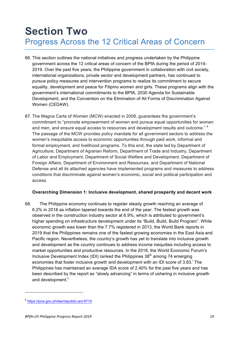### **Section Two** Progress Across the 12 Critical Areas of Concern

- 66. This section outlines the national initiatives and progress undertaken by the Philippine government across the 12 critical areas of concern of the BPfA during the period of 2014- 2019. Over the past five years, the Philippine government in collaboration with civil society, international organizations, private sector and development partners, has continued to pursue policy measures and intervention programs to realize its commitment to secure equality, development and peace for Filipino women and girls. These programs align with the government's international commitments to the BPfA, 2030 Agenda for Sustainable Development, and the Convention on the Elimination of All Forms of Discrimination Against Women (CEDAW).
- 67. The Magna Carta of Women (MCW) enacted in 2008, guarantees the government's commitment to "promote empowerment of women and pursue equal opportunities for women and men, and ensure equal access to resources and development results and outcome." <sup>8</sup> The passage of the MCW provides policy mandate for all government sectors to address the women's inequitable access to economic opportunities through paid work, informal and formal employment, and livelihood programs. To this end, the state led by Department of Agriculture, Department of Agrarian Reform, Department of Trade and Industry, Department of Labor and Employment, Department of Social Welfare and Development, Department of Foreign Affairs, Department of Environment and Resources, and Department of National Defense and all its attached agencies have implemented programs and measures to address conditions that discriminate against women's economic, social and political participation and access.

#### **Overarching Dimension 1: Inclusive development, shared prosperity and decent work**

68. The Philippine economy continues to register steady growth reaching an average of 6.2% in 2018 as inflation tapered towards the end of the year. The fastest growth was observed in the construction industry sector at 6.9%, which is attributed to government's higher spending on infrastructure development under its "Build, Build, Build Program". While economic growth was lower than the 7.7% registered in 2013, the World Bank reports in 2019 that the Philippines remains one of the fastest growing economies in the East Asia and Pacific region. Nevertheless, the country's growth has yet to translate into inclusive growth and development as the country continues to address income inequities including access to market opportunities and productive resources. In the 2018, the World Economic Forum's Inclusive Development Index (IDI) ranked the Philippines  $38<sup>th</sup>$  among 74 emerging economies that foster inclusive growth and development with an IDI score of 3.83. The Philippines has maintained an average IDA score of 2.40% for the past five years and has been described by the report as "slowly advancing" in terms of ushering in inclusive growth and development.<sup>ii</sup>

<sup>8</sup> https://pcw.gov.ph/law/republic-act-9710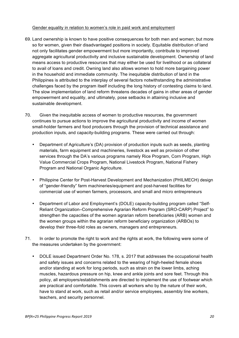#### Gender equality in relation to women's role in paid work and employment

- 69. Land ownership is known to have positive consequences for both men and women; but more so for women, given their disadvantaged positions in society. Equitable distribution of land not only facilitates gender empowerment but more importantly, contribute to improved aggregate agricultural productivity and inclusive sustainable development. Ownership of land means access to productive resources that may either be used for livelihood or as collateral to avail of loans and credit. Owning land also allows women to hold more bargaining power in the household and immediate community. The inequitable distribution of land in the Philippines is attributed to the interplay of several factors notwithstanding the administrative challenges faced by the program itself including the long history of contesting claims to land. The slow implementation of land reform threatens decades of gains in other areas of gender empowerment and equality, and ultimately, pose setbacks in attaining inclusive and sustainable development.
- 70. Given the inequitable access of women to productive resources, the government continues to pursue actions to improve the agricultural productivity and income of women small-holder farmers and food producers through the provision of technical assistance and production inputs, and capacity-building programs. These were carried out through:
	- Department of Agriculture's (DA) provision of production inputs such as seeds, planting materials, farm equipment and machineries, livestock as well as provision of other services through the DA's various programs namely Rice Program, Corn Program, High Value Commercial Crops Program, National Livestock Program, National Fishery Program and National Organic Agriculture.
	- Philippine Center for Post-Harvest Development and Mechanization (PHILMECH) design of "gender-friendly" farm machineries/equipment and post-harvest facilities for commercial use of women farmers, processors, and small and micro entrepreneurs
	- Department of Labor and Employment's (DOLE) capacity-building program called "Self-Reliant Organization–Comprehensive Agrarian Reform Program (SRO-CARP) Project" to strengthen the capacities of the women agrarian reform beneficiaries (ARB) women and the women groups within the agrarian reform beneficiary organization (ARBOs) to develop their three-fold roles as owners, managers and entrepreneurs.
- 71. In order to promote the right to work and the rights at work, the following were some of the measures undertaken by the government:
	- DOLE issued Department Order No. 178, s. 2017 that addresses the occupational health and safety issues and concerns related to the wearing of high-heeled female shoes and/or standing at work for long periods, such as strain on the lower limbs, aching muscles, hazardous pressure on hip, knee and ankle joints and sore feet. Through this policy, all employers/establishments are directed to implement the use of footwear which are practical and comfortable. This covers all workers who by the nature of their work, have to stand at work, such as retail and/or service employees, assembly line workers, teachers, and security personnel.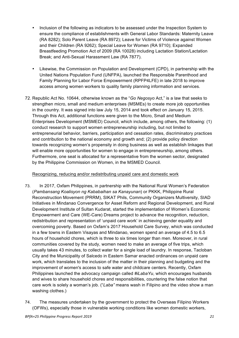- Inclusion of the following as indicators to be assessed under the Inspection System to ensure the compliance of establishments with General Labor Standards: Maternity Leave (RA 8282); Solo Parent Leave (RA 8972); Leave for Victims of Violence against Women and their Children (RA 9262); Special Leave for Women (RA 9710); Expanded Breastfeeding Promotion Act of 2009 (RA 10028) including Lactation Station/Lactation Break; and Anti-Sexual Harassment Law (RA 7877).
- Likewise, the Commission on Population and Development (CPD), in partnership with the United Nations Population Fund (UNFPA), launched the Responsible Parenthood and Family Planning for Labor Force Empowerment (RPFP4LFE) in late 2018 to improve access among women workers to quality family planning information and services.
- 72. Republic Act No. 10644, otherwise known as the "*Go Negosyo* Act," is a law that seeks to strengthen micro, small and medium enterprises (MSMEs) to create more job opportunities in the country. It was signed into law July 15, 2014 and took effect on January 15, 2015. Through this Act, additional functions were given to the Micro, Small and Medium Enterprises Development (MSMED) Council, which include, among others, the following: (1) conduct research to support women entrepreneurship including, but not limited to entrepreneurial behavior, barriers, participation and cessation rates, discriminatory practices and contribution to the national economy and growth and; (2) provide policy direction towards recognizing women's propensity in doing business as well as establish linkages that will enable more opportunities for women to engage in entrepreneurship, among others. Furthermore, one seat is allocated for a representative from the women sector, designated by the Philippine Commission on Women, in the MSMED Council.

#### Recognizing, reducing and/or redistributing unpaid care and domestic work

- 73. In 2017, Oxfam Philippines, in partnership with the National Rural Women's Federation (*Pambansang Koalisyon ng Kababaihan sa Kanayunan*) or PKKK, Philippine Rural Reconstruction Movement (PRRM), SIKAT Phils, Community Organizers Multiversity, SIAD Initiatives in Mindanao Convergence for Asset Reform and Regional Development, and Rural Development Institute of Sultan Kudarat, started the implementation of Women's Economic Empowerment and Care (WE-Care) Dreams project to advance the recognition, reduction, redistribution and representation of 'unpaid care work' in achieving gender equality and overcoming poverty. Based on Oxfam's 2017 Household Care Survey, which was conducted in a few towns in Eastern Visayas and Mindanao, women spend an average of 4.5 to 6.5 hours of household chores, which is three to six times longer than men. Moreover, in rural communities covered by the study, women need to make an average of five trips, which usually takes 43 minutes, to collect water for a single load of laundry. In response, Tacloban City and the Municipality of Salcedo in Eastern Samar enacted ordinances on unpaid care work, which translates to the inclusion of the matter in their planning and budgeting and the improvement of women's access to safe water and childcare centers. Recently, Oxfam Philippines launched the advocacy campaign called *#iLabaYu*, which encourages husbands and wives to share household chores and responsibilities, countering the false notion that care work is solely a woman's job. ("*Laba"* means wash in Filipino and the video show a man washing clothes.)
- 74. The measures undertaken by the government to protect the Overseas Filipino Workers (OFWs), especially those in vulnerable working conditions like women domestic workers,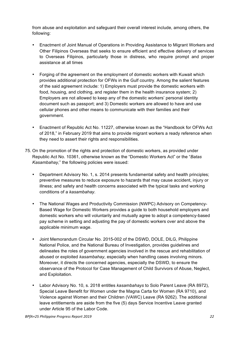from abuse and exploitation and safeguard their overall interest include, among others, the following:

- Enactment of Joint Manual of Operations in Providing Assistance to Migrant Workers and Other Filipinos Overseas that seeks to ensure efficient and effective delivery of services to Overseas Filipinos, particularly those in distress, who require prompt and proper assistance at all times
- Forging of the agreement on the employment of domestic workers with Kuwait which provides additional protection for OFWs in the Gulf country. Among the salient features of the said agreement include: 1) Employers must provide the domestic workers with food, housing, and clothing, and register them in the health insurance system; 2) Employers are not allowed to keep any of the domestic workers' personal identity document such as passport; and 3) Domestic workers are allowed to have and use cellular phones and other means to communicate with their families and their government.
- Enactment of Republic Act No. 11227, otherwise known as the "Handbook for OFWs Act of 2018," in February 2019 that aims to provide migrant workers a ready reference when they need to assert their rights and responsibilities.
- 75. On the promotion of the rights and protection of domestic workers, as provided under Republic Act No. 10361, otherwise known as the "Domestic Workers Act" or the "*Batas Kasambahay,*" the following policies were issued:
	- Department Advisory No. 1, s. 2014 presents fundamental safety and health principles; preventive measures to reduce exposure to hazards that may cause accident, injury or illness; and safety and health concerns associated with the typical tasks and working conditions of a *kasambahay*.
	- The National Wages and Productivity Commission (NWPC) Advisory on Competency-Based Wage for Domestic Workers provides a guide to both household employers and domestic workers who will voluntarily and mutually agree to adopt a competency-based pay scheme in setting and adjusting the pay of domestic workers over and above the applicable minimum wage.
	- Joint Memorandum Circular No. 2015-002 of the DSWD, DOLE, DILG, Philippine National Police, and the National Bureau of Investigation, provides guidelines and delineates the roles of government agencies involved in the rescue and rehabilitation of abused or exploited *kasambahay*, especially when handling cases involving minors. Moreover, it directs the concerned agencies, especially the DSWD, to ensure the observance of the Protocol for Case Management of Child Survivors of Abuse, Neglect, and Exploitation.
	- Labor Advisory No. 10, s. 2018 entitles *kasambahays* to Solo Parent Leave (RA 8972), Special Leave Benefit for Women under the Magna Carta for Women (RA 9710), and Violence against Women and their Children (VAWC) Leave (RA 9262). The additional leave entitlements are aside from the five (5) days Service Incentive Leave granted under Article 95 of the Labor Code.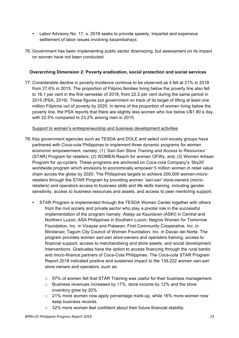- Labor Advisory No. 17, s. 2018 seeks to provide speedy, impartial and expensive settlement of labor issues involving *kasambahays*.
- 76. Government has been implementing public sector downsizing, but assessment on its impact on women have not been conducted.

#### **Overarching Dimension 2: Poverty eradication, social protection and social services**

77. Considerable decline in poverty incidence continue to be observed as it fell at 21% in 2018 from 27.6% in 2015. The proportion of Filipino families living below the poverty line also fell to 16.1 per cent in the first semester of 2018, from 22.2 per cent during the same period in 2015 (PSA, 2019). These figures put government on track of its target of lifting at least one million Filipinos out of poverty by 2020. In terms of the proportion of women living below the poverty line, the PSA reports that there are slightly less women who live below U\$1.90 a day, with 22.5% compared to 23.2% among men in 2015.

#### Support to women's entrepreneurship and business development activities

- 78. Key government agencies such as TESDA and DOLE and select civil society groups have partnered with Coca-cola Philippines to implement three dynamic programs for women economic empowerment, namely; (1) '*Sari-Sari Store Training and Access to Resources'* (STAR) Program for retailers; (2) WOMEN Reach for women OFWs, and; (3) Women Artisan Program for up-cyclers. These programs are anchored on Coca-cola Company's '5by20' worldwide program which envisions to economically empower 5 million women in retail value chain across the globe by 2020. The Philippines targets to achieve 200,000 women-microretailers through the STAR Program by providing women *'sari-sari'* store-owners (microretailers) and operators access to business skills and life skills training, including gender sensitivity, access to business resources and assets, and access to peer mentoring support.
	- STAR Program is implemented through the TESDA Women Center together with others from the civil society and private sector who play a pivotal role in the successful implementation of the program namely: *Alalay sa Kaunlaran* (ASKI) in Central and Northern Luzon; ASA Philippines in Southern Luzon; Negros Women for Tomorrow Foundation, Inc. in Visayas and Palawan; First Community Cooperative, Inc. in Mindanao; Tagum City Council of Women Foundation, Inc. in Davao del Norte. The program provides women *sari-sari store*-owners and operators training, access to financial support, access to merchandising and store assets, and social development Interventions. Graduates have the option to access financing through the rural banks and micro-finance partners of Coca-Cola Philippines. The Coca-cola STAR Program Report 2018 indicated positive and sustained impact to the 139,222 women sari-sari store owners and operators, such as:
		- $\circ$  97% of women felt that STAR Training was useful for their business management.
		- o Business revenues increased by 17%, store income by 12% and the store inventory grew by 20%.
		- $\circ$  21% more women now apply percentage mark-up, while 16% more women now keep business records.
		- $\circ$  32% more women feel confident about their future financial stability.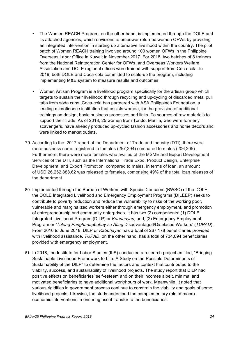- The Women REACH Program, on the other hand, is implemented through the DOLE and its attached agencies, which envisions to empower returned women OFWs by providing an integrated intervention in starting up alternative livelihood within the country. The pilot batch of Women REACH training involved around 100 women OFWs in the Philippine Overseas Labor Office in Kuwait in November 2017. For 2018, two batches of 8 trainers from the National Reintegration Center for OFWs, and Overseas Workers Welfare Association and DOLE regional offices were trained with support from Coca-cola. In 2019, both DOLE and Coca-cola committed to scale-up the program, including implementing M&E system to measure results and outcomes.
- Women Artisan Program is a livelihood program specifically for the artisan group which targets to sustain their livelihood through recycling and up-cycling of discarded metal pull tabs from soda cans. Coca-cola has partnered with ASA Philippines Foundation, a leading microfinance institution that assists women, for the provision of additional trainings on design, basic business processes and links. To sources of raw materials to support their trade. As of 2018, 25 women from Tondo, Manila, who were formerly scavengers, have already produced up-cycled fashion accessories and home decors and were linked to market outlets.
- 79. According to the 2017 report of the Department of Trade and Industry (DTI), there were more business name registered to females (257,294) compared to males (206,205). Furthermore, there were more females who availed of the MSME and Export Development Services of the DTI, such as the International Trade Expo, Product Design, Enterprise Development, and Export Promotion, compared to males. In terms of loan, an amount of USD 26,252,888.62 was released to females, comprising 49% of the total loan releases of the department.
- 80. Implemented through the Bureau of Workers with Special Concerns (BWSC) of the DOLE, the DOLE Integrated Livelihood and Emergency Employment Programs (DILEEP) seeks to contribute to poverty reduction and reduce the vulnerability to risks of the working poor, vulnerable and marginalized workers either through emergency employment, and promotion of entrepreneurship and community enterprises. It has two (2) components: (1) DOLE Integrated Livelihood Program (DILP) or *Kabuhayan,* and; (2) Emergency Employment Program or *'Tulong Panghanapbuhay sa Ating* Disadvantaged/Displaced Workers' (*TUPAD*). From 2016 to June 2018, DILP or *Kabuhayan* has a total of 267,178 beneficiaries provided with livelihood assistance. *TUPAD*, on the other hand, has a total of 734,094 beneficiaries provided with emergency employment.
- 81. In 2018, the Institute for Labor Studies (ILS) conducted a research project entitled, "Bringing Sustainable Livelihood Framework to Life: A Study on the Possible Determinants of Sustainability of the DILP" to determine the factors and context that contributed to the viability, success, and sustainability of livelihood projects. The study report that DILP had positive effects on beneficiaries' self-esteem and on their incomes albeit, minimal and motivated beneficiaries to have additional work/hours of work. Meanwhile, it noted that various rigidities in government process continue to constrain the viability and goals of some livelihood projects. Likewise, the study underlined the complementary role of macroeconomic interventions in ensuring asset transfer to the beneficiaries.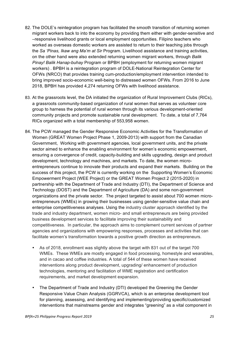- 82. The DOLE's reintegration program has facilitated the smooth transition of returning women migrant workers back to into the economy by providing them either with gender-sensitive and –responsive livelihood grants or local employment opportunities. Filipino teachers who worked as overseas domestic workers are assisted to return to their teaching jobs through the *Sa 'Pinas, Ikaw ang Ma'm at Sir* Program. Livelihood assistance and training activities, on the other hand were also extended returning women migrant workers, through *Balik Pinay! Balik Hanap-buhay* Program or BPBH (employment for returning women migrant workers) . BPBH is a reintegration program of DOLE-National Reintegration Center for OFWs (NRCO) that provides training cum-production/employment intervention intended to bring improved socio-economic well-being to distressed women OFWs. From 2016 to June 2018, BPBH has provided 4,274 returning OFWs with livelihood assistance.
- 83. At the grassroots level, the DA initiated the organization of Rural Improvement Clubs (RICs), a grassroots community-based organization of rural women that serves as volunteer core group to harness the potential of rural women through its various development-oriented community projects and promote sustainable rural development. To date, a total of 7,764 RICs organized with a total membership of 553,958 women.
- 84. The PCW managed the Gender Responsive Economic Activities for the Transformation of Women (GREAT Women Project Phase 1, 2009-2013) with support from the Canadian Government, Working with government agencies, local government units, and the private sector aimed to enhance the enabling environment for women's economic empowerment, ensuring a convergence of credit, capacity-building and skills upgrading, design and product development, technology and machines, and markets. To date, the women microentrepreneurs continue to innovate their products and expand their markets. Building on the success of this project, the PCW is currently working on the Supporting Women's Economic Empowerment Project (WEE Project) or the GREAT Women Project 2 (2015-2020) in partnership with the Department of Trade and Industry (DTI), the Department of Science and Technology (DOST) and the Department of Agriculture (DA) and some non-government organizations and the private sector. The project targeted to assist about 700 women microentrepreneurs (WMEs) in growing their businesses using gender-sensitive value chain and enterprise competitiveness analyses. Using the industry cluster approach identified by the trade and industry department, women micro- and small entrepreneurs are being provided business development services to facilitate improving their sustainability and competitiveness. In particular, the approach aims to complement current services of partner agencies and organizations with empowering responses, processes and activities that can facilitate women's transformation towards a positive growth direction as entrepreneurs.
	- As of 2018, enrollment was slightly above the target with 831 out of the target 700 WMEs. These WMEs are mostly engaged in food processing, homestyle and wearables, and in cacao and coffee industries. A total of 544 of these women have received interventions along product development, upgrading/ enhancement of production technologies, mentoring and facilitation of WME registration and certification requirements, and market development expansion.
	- The Department of Trade and Industry (DTI) developed the Greening the Gender Responsive Value Chain Analysis (GGRVCA), which is an enterprise development tool for planning, assessing, and identifying and implementing/providing specific/customized interventions that mainstreams gender and integrates "greening" as a vital component in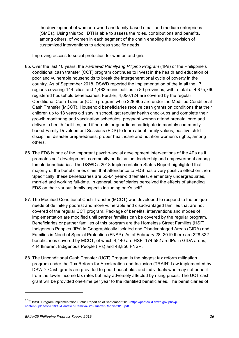the development of women-owned and family-based small and medium enterprises (SMEs). Using this tool, DTI is able to assess the roles, contributions and benefits, among others, of women in each segment of the chain enabling the provision of customized interventions to address specific needs.

#### Improving access to social protection for women and girls

- 85. Over the last 10 years, the *Pantawid Pamilyang Pilipino Program* (4Ps) or the Philippine's conditional cash transfer (CCT) program continues to invest in the health and education of poor and vulnerable households to break the intergenerational cycle of poverty in the country. As of September 2018, DSWD reported the implementation of the in all the 17 regions covering 144 cities and 1,483 municipalities in 80 provinces, with a total of 4,875,760 registered household beneficiaries. Further, 4,050,124 are covered by the regular Conditional Cash Transfer (CCT) program while 228,905 are under the Modified Conditional Cash Transfer (MCCT). Household beneficiaries receive cash grants on conditions that their children up to 18 years old stay in school, get regular health check-ups and complete their growth monitoring and vaccination schedules, pregnant women attend prenatal care and deliver in health facilities, and if parents or guardians participate in monthly communitybased Family Development Sessions (FDS) to learn about family values, positive child discipline, disaster preparedness, proper healthcare and nutrition women's rights, among others.
- 86. The FDS is one of the important psycho-social development interventions of the 4Ps as it promotes self-development, community participation, leadership and empowerment among female beneficiaries. The DSWD's 2018 Implementation Status Report highlighted that majority of the beneficiaries claim that attendance to FDS has a very positive effect on them. Specifically, these beneficiaries are 53-64 year-old females, elementary undergraduates, married and working full-time. In general, beneficiaries perceived the effects of attending FDS on their various family aspects including one's self $9$ .
- 87. The Modified Conditional Cash Transfer (MCCT) was developed to respond to the unique needs of definitely poorest and more vulnerable and disadvantaged families that are not covered of the regular CCT program. Package of benefits, interventions and modes of implementation are modified until partner families can be covered by the regular program. Beneficiaries or partner families of this program are the Homeless Street Families (HSF), Indigenous Peoples (IPs) in Geographically Isolated and Disadvantaged Areas (GIDA) and Families in Need of Special Protection (FNSP). As of February 28, 2019 there are 228,322 beneficiaries covered by MCCT, of which 4,440 are HSF, 174,582 are IPs in GIDA areas, 444 Itinerant Indigenous People (IPs) and 48,856 FNSP.
- 88. The Unconditional Cash Transfer (UCT) Program is the biggest tax reform mitigation program under the Tax Reform for Acceleration and Inclusion (TRAIN) Law implemented by DSWD. Cash grants are provided to poor households and individuals who may not benefit from the lower income tax rates but may adversely affected by rising prices. The UCT cash grant will be provided one-time per year to the identified beneficiaries. The beneficiaries of

<sup>&</sup>lt;sup>9 9 9</sup>DSWD Program Implementation Status Report as of September 2018 https://pantawid.dswd.gov.ph/wpcontent/uploads/2018/12/Pantawid-Pamilya-3rd-Quarter-Report-2018.pdf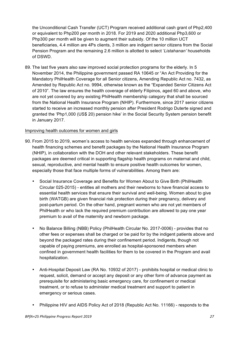the Unconditional Cash Transfer (UCT) Program received additional cash grant of Php2,400 or equivalent to Php200 per month in 2018. For 2019 and 2020 additional Php3,600 or Php300 per month will be given to augment their subsidy. Of the 10 million UCT beneficiaries, 4.4 million are 4Ps clients, 3 million are indigent senior citizens from the Social Pension Program and the remaining 2.6 million is allotted to select '*Listahanan'* households of DSWD.

89. The last five years also saw improved social protection programs for the elderly. In 5 November 2014, the Philippine government passed RA 10645 or "An Act Providing for the Mandatory PhilHealth Coverage for all Senior citizens, Amending Republic Act no. 7432, as Amended by Republic Act no. 9994, otherwise known as the "Expanded Senior Citizens Act of 2010". The law ensures the health coverage of elderly Filipinos, aged 60 and above, who are not yet covered by any existing PhilHealth membership category that shall be sourced from the National Health Insurance Program (NHIP). Furthermore, since 2017 senior citizens started to receive an increased monthly pension after President Rodrigo Duterte signed and granted the 'Php1,000 (US\$ 20) pension hike' in the Social Security System pension benefit in January 2017.

#### Improving health outcomes for women and girls

- 90. From 2015 to 2019, women's access to health services expanded through enhancement of health financing schemes and benefit packages by the National Health Insurance Program (NHIP), in collaboration with the DOH and other relevant stakeholders. These benefit packages are deemed critical in supporting flagship health programs on maternal and child, sexual, reproductive, and mental health to ensure positive health outcomes for women, especially those that face multiple forms of vulnerabilities. Among them are:
	- Social Insurance Coverage and Benefits for Women About to Give Birth (PhilHealth Circular 025-2015) - entitles all mothers and their newborns to have financial access to essential health services that ensure their survival and well-being. Women about to give birth (WATGB) are given financial risk protection during their pregnancy, delivery and post-partum period. On the other hand, pregnant women who are not yet members of PhilHealth or who lack the required premium contribution are allowed to pay one year premium to avail of the maternity and newborn package.
	- No Balance Billing (NBB) Policy (PhilHealth Circular No. 2017-0006) provides that no other fees or expenses shall be charged or be paid for by the indigent patients above and beyond the packaged rates during their confinement period. Indigents, though not capable of paying premiums, are enrolled as hospital-sponsored members when confined in government health facilities for them to be covered in the Program and avail hospitalization.
	- Anti-Hospital Deposit Law (RA No. 10932 of 2017) prohibits hospital or medical clinic to request, solicit, demand or accept any deposit or any other form of advance payment as prerequisite for administering basic emergency care, for confinement or medical treatment, or to refuse to administer medical treatment and support to patient in emergency or serious cases.
	- Philippine HIV and AIDS Policy Act of 2018 (Republic Act No. 11166) responds to the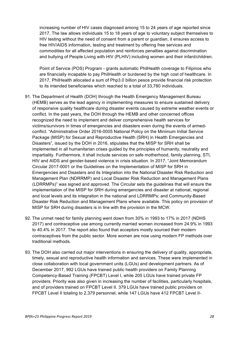increasing number of HIV cases diagnosed among 15 to 24 years of age reported since 2017. The law allows individuals 15 to 18 years of age to voluntary subject themselves to HIV testing without the need of consent from a parent or guardian, it ensures access to free HIV/AIDS information, testing and treatment by offering free services and commodities for all affected population and reinforces penalties against discrimination and bullying of People Living with HIV (PLHIV) including women and their infant/children.

Point of Service (POS) Program - grants automatic PhilHealth coverage to Filipinos who are financially incapable to pay PhilHealth or burdened by the high cost of healthcare. In 2017, PhilHealth allocated a sum of Php3.0 billion pesos provide financial risk protection to its intended beneficiaries which reached to a total of 33,780 individuals.

- 91. The Department of Health (DOH) through the Health Emergency Management Bureau (HEMB) serves as the lead agency in implementing measures to ensure sustained delivery of responsive quality healthcare during disaster events caused by extreme weather events or conflict. In the past years, the DOH through the HEMB and other concerned offices recognized the need to implement and deliver comprehensive health services for victims/survivors in times of emergencies and disasters even during the events of armedconflict. "Administrative Order 2016-0005 National Policy on the Minimum Initial Service Package (MISP) for Sexual and Reproductive Health (SRH) in Health Emergencies and Disasters", issued by the DOH in 2016, stipulates that the MISP for SRH shall be implemented in all humanitarian crises guided by the principles of humanity, neutrality and impartiality. Furthermore, it shall include services on safe motherhood, family planning, STI, HIV and AIDS and gender-based violence in crisis situation. In 2017, "Joint Memorandum Circular 2017-0001 or the Guidelines on the Implementation of MISP for SRH in Emergencies and Disasters and its Integration into the National Disaster Risk Reduction and Management Plan (NDRRMP) and Local Disaster Risk Reduction and Management Plans (LDRRMPs)" was signed and approved. The Circular sets the guidelines that will ensure the implementation of the MISP for SRH during emergencies and disaster at national, regional and local levels and its integration in the national and LDRRMPs; and Community-Based Disaster Risk Reduction and Management Plans where available. This policy on provision of MISP for SRH during disasters is in line with the provision in the MCW.
- 92. The unmet need for family planning went down from 30% in 1993 to 17% in 2017 (NDHS 2017) and contraceptive use among currently married women increased from 24.9% in 1993 to 40.4% in 2017. The report also found that acceptors mostly sourced their modern contraceptives from the public sector. More women are now using modern FP methods over traditional methods.
- 93. The DOH also carried out major interventions in ensuring the delivery of quality, appropriate, timely, sexual and reproductive health information and services. These were implemented in close collaboration with local government units (LGUs) and development partners. As of December 2017, 992 LGUs have trained public health providers on Family Planning Competency-Based Training (FPCBT) Level I, while 205 LGUs have trained private FP providers. Priority was also given in increasing the number of facilities, particularly hospitals, and of providers trained on FPCBT Level II. 379 LGUs have trained public providers on FPCBT Level II totaling to 2,379 personnel, while 147 LGUs have 412 FPCBT Level II-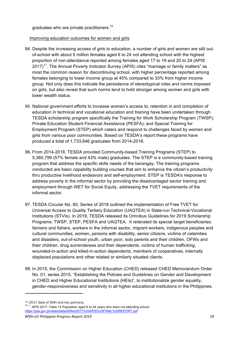graduates who are private practitioners.<sup>10</sup>

#### Improving education outcomes for women and girls

- 94. Despite the increasing access of girls to education, a number of girls and women are still outof-school with about 5 million females aged 6 to 24 not attending school with the highest proportion of non-attendance reported among females aged 17 to 19 and 20 to 24 (APIS  $2017$ <sup>11</sup>. The Annual Poverty Indicator Survey (APIS) cites "marriage or family matters" as most the common reason for discontinuing school, with higher percentage reported among females belonging to lower income group at 45% compared to 33% from higher income group. Not only does this indicate the persistence of stereotypical roles and norms imposed on girls, but also reveal that such norms tend to hold stronger among women and girls with lower wealth status.
- 95. National government efforts to increase women's access to, retention in and completion of education in technical and vocational education and training have been undertaken through TESDA scholarship program specifically the Training for Work Scholarship Program (TWSP); Private Education Student Financial Assistance (PESFA); and Special Training for Employment Program (STEP) which caters and respond to challenges faced by women and girls from various poor communities. Based on TESDA's report these programs have produced a total of 1,733,646 graduates from 2014-2018.
- 96. From 2014-2018, TESDA provided Community-based Training Programs (STEP) to 5,360,799 (57% female and 43% male) graduates. The STEP is a community-based training program that address the specific skills needs of the barangay. The training programs conducted are basic capability building courses that aim to enhance the citizen's productivity thru productive livelihood endeavors and self-employment. STEP is TESDA's response to address poverty in the informal sector by providing the disadvantaged sector training and employment through WET for Social Equity, addressing the TVET requirements of the informal sector.
- 97. TESDA Circular No. 60, Series of 2018 outlined the implementation of Free TVET for Universal Access to Quality Tertiary Education (UAQTEA) in State-run Technical-Vocational Institutions (STVIs). In 2019, TESDA released its Omnibus Guidelines for 2019 Scholarship Programs: TWSP, STEP, PESFA and UAQTEA. It reiterated its special target beneficiaries: farmers and fishers, workers in the informal sector, migrant workers, indigenous peoples and cultural communities, women**,** persons with disability, senior citizens, victims of calamities and disasters, out-of-school youth, urban poor, solo parents and their children, OFWs and their children, drug surrenderees and their dependents, victims of human trafficking, wounded-in-action and killed-in-action dependents, members of cooperatives, internally displaced populations and other related or similarly situated clients.
- 98. In 2015, the Commission on Higher Education (CHED) released CHED Memorandum Order No. 01, series 2015, "Establishing the Policies and Guidelines on Gender and Development in CHED and Higher Educational Institutions (HEIs)", to institutionalize gender equality, gender-responsiveness and sensitivity in all higher educational institutions in the Philippines.

 $10$  2017 data of DOH and key partners.<br> $11$   $11$  APIS 2017: Table 13 Population aged 6 to 24 years who were not attending school https://psa.gov.ph/sites/default/files/2017%20APIS%20FINAL%20REPORT.pdf

*BPfA+25 Philippine Progress Report 2019 29*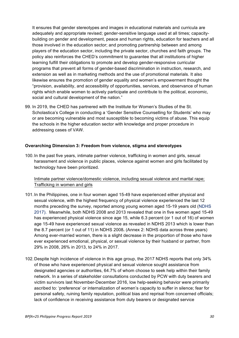It ensures that gender stereotypes and images in educational materials and curricula are adequately and appropriate revised; gender-sensitive language used at all times; capacitybuilding on gender and development, peace and human rights, education for teachers and all those involved in the education sector; and promoting partnership between and among players of the education sector, including the private sector, churches and faith groups. The policy also reinforces the CHED's commitment to guarantee that all institutions of higher learning fulfill their obligations to promote and develop gender-responsive curricular programs that prevent all forms of gender-based discrimination in instruction, research, and extension as well as in marketing methods and the use of promotional materials. It also likewise ensures the promotion of gender equality and women's empowerment thought the "provision, availability, and accessibility of opportunities, services, and observance of human rights which enable women to actively participate and contribute to the political, economic, social and cultural development of the nation."

99. In 2019, the CHED has partnered with the Institute for Women's Studies of the St. Scholastica's College in conducting a 'Gender Sensitive Counselling for Students' who may or are becoming vulnerable and most susceptible to becoming victims of abuse. This equip the schools in the higher education sector with knowledge and proper procedure in addressing cases of VAW.

#### **Overarching Dimension 3: Freedom from violence, stigma and stereotypes**

100.In the past five years, intimate partner violence, trafficking in women and girls, sexual harassment and violence in public places, violence against women and girls facilitated by technology have been prioritized.

Intimate partner violence/domestic violence, including sexual violence and marital rape; Trafficking in women and girls

- 101.In the Philippines, one in four women aged 15-49 have experienced either physical and sexual violence, with the highest frequency of physical violence experienced the last 12 months preceding the survey, reported among young women aged 15-19 years old (NDHS 2017). Meanwhile, both NDHS 2008 and 2013 revealed that one in five women aged 15-49 has experienced physical violence since age 15, while 6.3 percent (or 1 out of 16) of women age 15-49 have experienced sexual violence as revealed in NDHS 2013 which is lower than the 8.7 percent (or 1 out of 11) in NDHS 2008**.** (Annex 2: NDHS data across three years) Among ever-married women, there is a slight decrease in the proportion of those who have ever experienced emotional, physical, or sexual violence by their husband or partner, from 29% in 2008, 26% in 2013, to 24% in 2017.
- 102.Despite high incidence of violence in this age group, the 2017 NDHS reports that only 34% of those who have experienced physical and sexual violence sought assistance from designated agencies or authorities, 64.7% of whom choose to seek help within their family network. In a series of stakeholder consultations conducted by PCW with duty bearers and victim survivors last November-December 2016, low help-seeking behavior were primarily ascribed to: 'preference' or internalization of women's capacity to suffer in silence; fear for personal safety, ruining family reputation, political bias and reprisal from concerned officials; lack of confidence in receiving assistance from duty bearers or designated service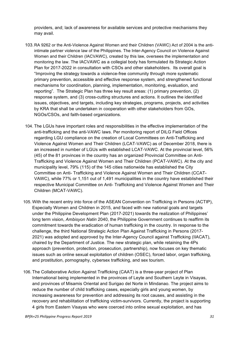providers, and; lack of awareness for available services and protective mechanisms they may avail.

- 103.RA 9262 or the Anti-Violence Against Women and their Children (VAWC) Act of 2004 is the antiintimate partner violence law of the Philippines. The Inter-Agency Council on Violence Against Women and their Children (IACVAWC), created by this law, oversees the implementation and monitoring the law. The IACVAWC as a collegial body has formulated its Strategic Action Plan for 2017-2022 in consultation with CSOs and other stakeholders. Its overall goal is "Improving the strategy towards a violence-free community through more systematic primary prevention, accessible and effective response system, and strengthened functional mechanisms for coordination, planning, implementation, monitoring, evaluation, and reporting". The Strategic Plan has three key result areas: (1) primary prevention, (2) response system, and (3) cross-cutting structures and actions. It outlines the identified issues, objectives, and targets, including key strategies, programs, projects, and activities by KRA that shall be undertaken in cooperation with other stakeholders from GOs, NGOs/CSOs, and faith-based organizations.
- 104. The LGUs have important roles and responsibilities in the effective implementation of the anti-trafficking and the anti-VAWC laws. Per monitoring report of DILG Field Offices regarding LGU compliance on the creation of Local Committees on Anti-Trafficking and Violence Against Women and Their Children (LCAT-VAWC) as of December 2018, there is an increased in number of LGUs with established LCAT-VAWC. At the provincial level, 56% (45) of the 81 provinces in the country has an organized Provincial Committee on Anti-Trafficking and Violence Against Women and Their Children (PCAT-VAWC). At the city and municipality level, 79% (115) of the 145 cities nationwide has established the City Committee on Anti- Trafficking and Violence Against Women and Their Children (CCAT-VAWC), while 77% or 1,151 out of 1,491 municipalities in the country have established their respective Municipal Committee on Anti- Trafficking and Violence Against Women and Their Children (MCAT-VAWC).
- 105. With the recent entry into force of the ASEAN Convention on Trafficking in Persons (ACTIP), Especially Women and Children in 2015, and faced with new national goals and targets under the Philippine Development Plan (2017-2021) towards the realization of Philippines' long term vision, *Ambisyon Natin* 2040, the Philippine Government continues to reaffirm its commitment towards the eradication of human trafficking in the country. In response to the challenge, the third National Strategic Action Plan Against Trafficking in Persons (2017- 2021) was adopted and approved by the Inter-Agency Council against Trafficking (IIACAT), chaired by the Department of Justice. The new strategic plan, while retaining the 4Ps approach (prevention, protection, prosecution, partnership), now focuses on key thematic issues such as online sexual exploitation of children (OSEC), forced labor, organ trafficking, and prostitution, pornography, cybersex trafficking, and sex tourism.
- 106. The Collaborative Action Against Trafficking (CAAT) is a three-year project of Plan International being implemented in the provinces of Leyte and Southern Leyte in Visayas, and provinces of Misamis Oriental and Surigao del Norte in Mindanao. The project aims to reduce the number of child trafficking cases, especially girls and young women, by increasing awareness for prevention and addressing its root causes, and assisting in the recovery and rehabilitation of trafficking victim-survivors. Currently, the project is supporting 4 girls from Eastern Visayas who were coerced into online sexual exploitation, and has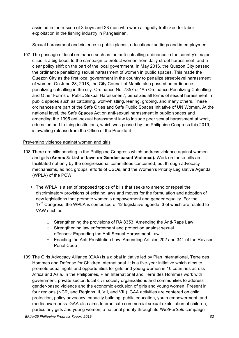assisted in the rescue of 3 boys and 28 men who were allegedly trafficked for labor exploitation in the fishing industry in Pangasinan.

#### Sexual harassment and violence in public places, educational settings and in employment

107. The passage of local ordinance such as the anti-catcalling ordinance in the country's major cities is a big boost to the campaign to protect women from daily street harassment, and a clear policy shift on the part of the local government. In May 2016, the Quezon City passed the ordinance penalizing sexual harassment of women in public spaces. This made the Quezon City as the first local government in the country to penalize street-level harassment of women. On June 28, 2018, the City Council of Manila also passed an ordinance penalizing catcalling in the city. Ordinance No. 7857 or "An Ordinance Penalizing Catcalling and Other Forms of Public Sexual Harassment", penalizes all forms of sexual harassment in public spaces such as catcalling, wolf-whistling, leering, groping, and many others. These ordinances are part of the Safe Cities and Safe Public Spaces Initiative of UN Women. At the national level, the Safe Spaces Act on anti-sexual harassment in public spaces and amending the 1995 anti-sexual harassment law to include peer sexual harassment at work, education and training institutions, which was passed by the Philippine Congress this 2019, is awaiting release from the Office of the President.

#### Preventing violence against women and girls

- 108.There are bills pending in the Philippine Congress which address violence against women and girls **(Annex 3: List of laws on Gender-based Violence).** Work on these bills are facilitated not only by the congressional committees concerned, but through advocacy mechanisms, ad hoc groups, efforts of CSOs, and the Women's Priority Legislative Agenda (WPLA) of the PCW.
	- The WPLA is a set of proposed topics of bills that seeks to amend or repeal the discriminatory provisions of existing laws and moves for the formulation and adoption of new legislations that promote women's empowerment and gender equality. For the  $17<sup>th</sup>$  Congress, the WPLA is composed of 12 legislative agenda, 3 of which are related to VAW such as:
		- $\circ$  Strengthening the provisions of RA 8353: Amending the Anti-Rape Law
		- o Strengthening law enforcement and protection against sexual offenses: Expanding the Anti-Sexual Harassment Law
		- $\circ$  Enacting the Anti-Prostitution Law: Amending Articles 202 and 341 of the Revised Penal Code
- 109.The Girls Advocacy Alliance (GAA) is a global initiative led by Plan International, Terre des Hommes and Defense for Children International. It is a five-year initiative which aims to promote equal rights and opportunities for girls and young women in 10 countries across Africa and Asia. In the Philippines, Plan International and Terre des Hommes work with government, private sector, local civil society organizations and communities to address gender-based violence and the economic exclusion of girls and young women. Present in four regions (NCR, and Regions III, VII, and VIII), GAA activities are centered on child protection, policy advocacy, capacity building, public education, youth empowerment, and media awareness. GAA also aims to eradicate commercial sexual exploitation of children, particularly girls and young women, a national priority through its *#NotForSale* campaign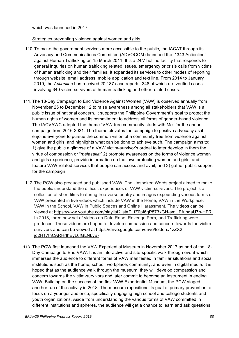which was launched in 2017.

#### Strategies preventing violence against women and girls

- 110.To make the government services more accessible to the public, the IACAT through its Advocacy and Communications Committee (ADVOCOM) launched the '1343 Actionline' against Human Trafficking on 15 March 2011. It is a 24/7 hotline facility that responds to general inquiries on human trafficking related issues, emergency or crisis calls from victims of human trafficking and their families. It expanded its services to other modes of reporting through website, email address, mobile application and text line. From 2014 to January 2019, the *Actionline* has received 20,187 case reports, 348 of which are verified cases involving 340 victim-survivors of human trafficking and other related cases.
- 111. The 18-Day Campaign to End Violence Against Women (VAW) is observed annually from November 25 to December 12 to raise awareness among all stakeholders that VAW is a public issue of national concern. It supports the Philippine Government's goal to protect the human rights of women and its commitment to address all forms of gender-based violence. The IACVAWC adopted the theme "VAW-free community starts with Me" for the annual campaign from 2016-2021. The theme elevates the campaign to positive advocacy as it enjoins everyone to pursue the common vision of a community free from violence against women and girls, and highlights what can be done to achieve such. The campaign aims to: 1) give the public a glimpse of a VAW victim-survivor's ordeal to later develop in them the virtue of compassion or "*malasakit;"* 2) promote awareness on the forms of violence women and girls experience, provide information on the laws protecting women and girls, and feature VAW-related services that people can access and avail; and 3) gather public support for the campaign.
- 112.The PCW also produced and published VAW: The Unspoken Words project aimed to make the public understand the difficult experiences of VAW victim-survivors. The project is a collection of short films featuring free-verse poetry and images expounding various forms of VAW presented in five videos which include VAW in the Home, VAW in the Workplace, VAW in the School, VAW in Public Spaces and Online Harassment. The videos can be viewed at https://www.youtube.com/playlist?list=PLfZ0pf6gP873xGN-smUFAIndaU7b-HFRl. In 2018, three new set of videos on Date Rape, Revenge Porn, and Trafficking were produced. These videos are hoped to develop compassion and concern towards the victimsurvivors and can be viewed at https://drive.google.com/drive/folders/1zZX2 jd2H17fhCARHrIhEyL0fGLNLyB-
- 113. The PCW first launched the VAW Experiential Museum in November 2017 as part of the 18- Day Campaign to End VAW. It is an interactive and site-specific walk-through event which immerses the audience to different forms of VAW manifested in familiar situations and social institutions such as the home, school, workplace, community, and even in digital media. It is hoped that as the audience walk through the museum, they will develop compassion and concern towards the victim-survivors and later commit to become an instrument in ending VAW. Building on the success of the first VAW Experiential Museum, the PCW staged another run of the activity in 2018. The museum repositions its goal of primary prevention to focus on a younger audience, specifically engaging high school and college students and youth organizations. Aside from understanding the various forms of VAW committed in different institutions and spheres, the audience will get a chance to learn and ask questions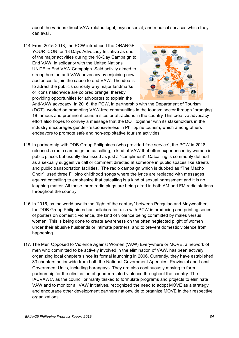about the various direct VAW-related legal, psychosocial, and medical services which they can avail.

114.From 2015-2018, the PCW introduced the ORANGE YOUR ICON for 18 Days Advocacy Initiative as one of the major activities during the 18-Day Campaign to End VAW, in solidarity with the United Nations' UNiTE to End VAW Campaign. Said activity aimed to strengthen the anti-VAW advocacy by enjoining new audiences to join the cause to end VAW. The idea is to attract the public's curiosity why major landmarks or icons nationwide are colored orange, thereby providing opportunities for advocates to explain the



Anti-VAW advocacy. In 2016, the PCW, in partnership with the Department of Tourism (DOT), worked on promoting VAW-free communities in the tourism sector through "oranging" 18 famous and prominent tourism sites or attractions in the country This creative advocacy effort also hopes to convey a message that the DOT together with its stakeholders in the industry encourages gender-responsiveness in Philippine tourism, which among others endeavors to promote safe and non-exploitative tourism activities.

- 115. In partnership with DDB Group Philippines (who provided free service), the PCW in 2018 released a radio campaign on catcalling, a kind of VAW that often experienced by women in public places but usually dismissed as just a "compliment". Catcalling is commonly defined as a sexually suggestive call or comment directed at someone in public spaces like streets and public transportation facilities. The radio campaign which is dubbed as "The Macho Choir", used three Filipino childhood songs where the lyrics are replaced with messages against catcalling to emphasize that catcalling is a kind of sexual harassment and it is no laughing matter. All these three radio plugs are being aired in both AM and FM radio stations throughout the country.
- 116.In 2015, as the world awaits the "fight of the century" between Pacquiao and Mayweather, the DDB Group Philippines has collaborated also with PCW in producing and printing series of posters on domestic violence, the kind of violence being committed by males versus women. This is being done to create awareness on the often neglected plight of women under their abusive husbands or intimate partners, and to prevent domestic violence from happening.
- 117. The Men Opposed to Violence Against Women (VAW) Everywhere or MOVE, a network of men who committed to be actively involved in the elimination of VAW, has been actively organizing local chapters since its formal launching in 2006. Currently, they have established 33 chapters nationwide from both the National Government Agencies, Provincial and Local Government Units, including barangays. They are also continuously moving to form partnership for the elimination of gender related violence throughout the country. The IACVAWC, as the council primarily tasked to formulate programs and projects to eliminate VAW and to monitor all VAW initiatives, recognized the need to adopt MOVE as a strategy and encourage other development partners nationwide to organize MOVE in their respective organizations.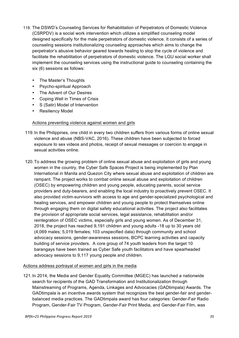- 118. The DSWD's Counseling Services for Rehabilitation of Perpetrators of Domestic Violence (CSRPDV) is a social work intervention which utilizes a simplified counseling model designed specifically for the male perpetrators of domestic violence. It consists of a series of counseling sessions institutionalizing counseling approaches which aims to change the perpetrator's abusive behavior geared towards healing to stop the cycle of violence and facilitate the rehabilitation of perpetrators of domestic violence. The LGU social worker shall implement the counseling services using the instructional guide to counseling containing the six (6) sessions as follows:
	- The Master's Thoughts
	- Psycho-spiritual Approach
	- The Advent of Our Desires
	- Coping Well in Times of Crisis
	- S (Satir) Model of Intervention
	- Resiliency Model

#### Actions preventing violence against women and girls

- 119.In the Philippines, one child in every two children suffers from various forms of online sexual violence and abuse (NBS-VAC, 2016). These children have been subjected to forced exposure to sex videos and photos, receipt of sexual messages or coercion to engage in sexual activities online.
- 120.To address the growing problem of online sexual abuse and exploitation of girls and young women in the country, the Cyber Safe Spaces Project is being implemented by Plan International in Manila and Quezon City where sexual abuse and exploitation of children are rampant. The project works to combat online sexual abuse and exploitation of children (OSEC) by empowering children and young people, educating parents, social service providers and duty-bearers, and enabling the local industry to proactively prevent OSEC. It also provided victim-survivors with access to age and gender-specialized psychological and healing services, and empower children and young people to protect themselves online through engaging them on digital safety educational activities. The project also facilitates the provision of appropriate social services, legal assistance, rehabilitation and/or reintegration of OSEC victims, especially girls and young women. As of December 31, 2018, the project has reached 9,191 children and young adults -18 up to 30 years old (4,069 males; 5,019 females; 103 unspecified data) through community and school advocacy sessions, gender-awareness sessions, BCPC learning activities and capacity building of service providers. A core group of 74 youth leaders from the target 10 barangays have been trained as Cyber Safe youth facilitators and have spearheaded advocacy sessions to 9,117 young people and children.

#### Actions address portrayal of women and girls in the media

121.In 2014, the Media and Gender Equality Committee (MGEC) has launched a nationwide search for recipients of the GAD Transformation and Institutionalization through Mainstreaming of Programs, Agenda, Linkages and Advocacies (GADtimpala) Awards. The GADtimpala is an incentive awards system that recognizes the best gender-fair and genderbalanced media practices. The GADtimpala award has four categories: Gender-Fair Radio Program, Gender-Fair TV Program, Gender-Fair Print Media, and Gender-Fair Film, was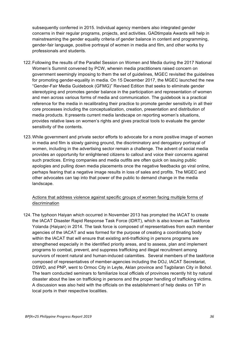subsequently conferred in 2015. Individual agency members also integrated gender concerns in their regular programs, projects, and activities. GADtimpala Awards will help in mainstreaming the gender equality criteria of gender balance in content and programming, gender-fair language, positive portrayal of women in media and film, and other works by professionals and students.

- 122.Following the results of the Parallel Session on Women and Media during the 2017 National Women's Summit convened by PCW, wherein media practitioners raised concern on government seemingly imposing to them the set of guidelines, MGEC revisited the guidelines for promoting gender-equality in media. On 15 December 2017, the MGEC launched the new "Gender-Fair Media Guidebook (GFMG)" Revised Edition that seeks to eliminate gender stereotyping and promotes gender balance in the participation and representation of women and men across various forms of media and communication. The guidebook is a practical reference for the media in recalibrating their practice to promote gender sensitivity in all their core processes including the conceptualization, creation, presentation and distribution of media products. It presents current media landscape on reporting women's situations, provides relative laws on women's rights and gives practical tools to evaluate the gender sensitivity of the contents.
- 123.While government and private sector efforts to advocate for a more positive image of women in media and film is slowly gaining ground, the discriminatory and derogatory portrayal of women, including in the advertising sector remain a challenge. The advent of social media provides an opportunity for enlightened citizens to callout and voice their concerns against such practices. Erring companies and media outfits are often quick on issuing public apologies and pulling down media placements once the negative feedbacks go viral online, perhaps fearing that a negative image results in loss of sales and profits. The MGEC and other advocates can tap into that power of the public to demand change in the media landscape.

#### Actions that address violence against specific groups of women facing multiple forms of discrimination

124. The typhoon Haiyan which occurred in November 2013 has prompted the IACAT to create the IACAT Disaster Rapid Response Task Force (IDRT), which is also known as Taskforce Yolanda (Haiyan) in 2014. The task force is composed of representatives from each member agencies of the IACAT and was formed for the purpose of creating a coordinating body within the IACAT that will ensure that existing anti-trafficking in persons programs are strengthened especially in the identified priority areas, and to assess, plan and implement programs to combat, prevent, and suppress trafficking and illegal recruitment among survivors of recent natural and human-induced calamities. Several members of the taskforce composed of representatives of member-agencies including the DOJ, IACAT Secretariat, DSWD, and PNP, went to Ormoc City in Leyte, Aklan province and Tagbilaran City in Bohol. The team conducted seminars to familiarize local officials of provinces recently hit by natural disaster about the law on trafficking in persons and the proper handling of trafficking victims. A discussion was also held with the officials on the establishment of help desks on TIP in local ports in their respective localities.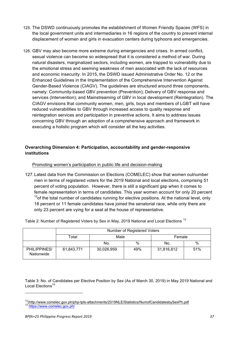- 125. The DSWD continuously promotes the establishment of Women Friendly Spaces (WFS) in the local government units and intermediaries in 16 regions of the country to prevent internal displacement of women and girls in evacuation centers during typhoons and emergencies.
- 126. GBV may also become more extreme during emergencies and crises. In armed conflict, sexual violence can become so widespread that it is considered a method of war. During natural disasters, marginalized sectors, including women, are trapped to vulnerability due to the emotional stress and seeming weakness of men associated with the lack of resources and economic insecurity. In 2015, the DSWD issued Administrative Order No. 12 or the Enhanced Guidelines in the Implementation of the Comprehensive Intervention Against Gender-Based Violence (CIAGV). The guidelines are structured around three components, namely: Community-based GBV prevention (Prevention); Delivery of GBV response and services (Intervention); and Mainstreaming of GBV in local development (Reintegration). The CIAGV envisions that community women, men, girls, boys and members of LGBT will have reduced vulnerabilities to GBV through increased access to quality response and reintegration services and participation in preventive actions. It aims to address issues concerning GBV through an adoption of a comprehensive approach and framework in executing a holistic program which will consider all the key activities.

#### **Overarching Dimension 4: Participation, accountability and gender-responsive institutions**

#### Promoting women's participation in public life and decision-making

127.Latest data from the Commission on Elections (COMELEC) show that women outnumber men in terms of registered voters for the 2019 National and local elections, comprising 51 percent of voting population. However, there is still a significant gap when it comes to female representation in terms of candidates. This year women account for only 20 percent  $12$ <sup>12</sup> of the total number of candidates running for elective positions. At the national level, only 18 percent or 11 female candidates have joined the senatorial race, while only there are only 23 percent are vying for a seat at the house of representative.

Table 2: Number of Registered Voters by Sex in May, 2019 National and Local Elections<sup>13</sup>

|                            | Number of Registered Voters |            |      |            |      |  |  |
|----------------------------|-----------------------------|------------|------|------------|------|--|--|
|                            | Total                       | Male       |      | Female     |      |  |  |
|                            |                             | No.        | $\%$ | No.        | $\%$ |  |  |
| PHILIPPINES/<br>Nationwide | 61,843,771                  | 30,026,959 | 49%  | 31,816,812 | 51%  |  |  |

Table 3: No. of Candidates per Elective Position by Sex (As of March 30, 2019) in May 2019 National and Local Elections<sup>14</sup>

<sup>&</sup>lt;sup>12</sup>(http://www.comelec.gov.ph/php-tpls-attachments/2019NLE/Statistics/NumofCandidatesbySexPh.pdf<br><sup>13</sup> https://www.comelec.gov.ph/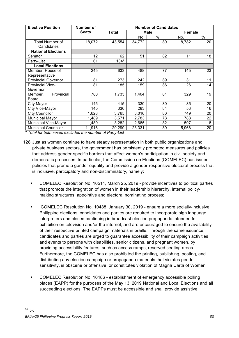| <b>Elective Position</b>    | Number of    | <b>Number of Candidates</b> |        |             |        |    |  |
|-----------------------------|--------------|-----------------------------|--------|-------------|--------|----|--|
|                             | <b>Seats</b> | Total                       |        | <b>Male</b> | Female |    |  |
|                             |              |                             | No.    | $\%$        | No.    | %  |  |
| Total Number of             | 18,072       | 43,554                      | 34,772 | 80          | 8,782  | 20 |  |
| Candidates                  |              |                             |        |             |        |    |  |
| <b>National Elections</b>   |              |                             |        |             |        |    |  |
| Senator                     | 12           | 62                          | 51     | 82          | 11     | 18 |  |
| Party-List                  | 61           | $134*$                      |        |             |        |    |  |
| <b>Local Elections</b>      |              |                             |        |             |        |    |  |
| Member, House of            | 245          | 633                         | 488    | 77          | 145    | 23 |  |
| Representative              |              |                             |        |             |        |    |  |
| <b>Provincial Governor</b>  | 81           | 273                         | 242    | 89          | 31     | 11 |  |
| Provincial Vice-            | 81           | 185                         | 159    | 86          | 26     | 14 |  |
| Governor                    |              |                             |        |             |        |    |  |
| Provincial<br>Member,       | 780          | 1,733                       | 1,404  | 81          | 329    | 19 |  |
| Board                       |              |                             |        |             |        |    |  |
| City Mayor                  | 145          | 415                         | 330    | 80          | 85     | 20 |  |
| City Vice-Mayor             | 145          | 336                         | 283    | 84          | 53     | 16 |  |
| <b>City Councilor</b>       | 1,628        | 3,765                       | 3,016  | 80          | 749    | 20 |  |
| Municipal Mayor             | 1,489        | 3,571                       | 2,783  | 78          | 788    | 22 |  |
| <b>Municipal Vice-Mayor</b> | 1,489        | 3,282                       | 2,685  | 82          | 597    | 18 |  |
| <b>Municipal Councilor</b>  | 11,916       | 29,299                      | 23,331 | 80          | 5,968  | 20 |  |

*\* Total for both sexes excludes the number of Party-List*

- 128.Just as women continue to have steady representation in both public organizations and private business sectors, the government has persistently promoted measures and policies that address gender-specific barriers that affect women's participation in civil society and democratic processes. In particular, the Commission on Elections (COMELEC) has issued policies that promote gender equality and provide a gender-responsive electoral process that is inclusive, participatory and non-discriminatory, namely:
	- COMELEC Resolution No. 10514, March 25, 2019 provide incentives to political parties that promote the integration of women in their leadership hierarchy, internal policymaking structures, appointive and electoral nominating process;
	- COMELEC Resolution No. 10488, January 30, 2019 ensure a more socially-inclusive Philippine elections, candidates and parties are required to incorporate sign language interpreters and closed captioning in broadcast election propaganda intended for exhibition on television and/or the internet, and are encouraged to ensure the availability of their respective printed campaign materials in braille. Through the same issuance, candidates and parties are urged to guarantee accessibility of their campaign activities and events to persons with disabilities, senior citizens, and pregnant women, by providing accessibility features, such as access ramps, reserved seating areas. Furthermore, the COMELEC has also prohibited the printing, publishing, posting, and distributing any election campaign or propaganda materials that violates gender sensitivity, is obscene or offensive, or constitutes violation of Magna Carta of Women
	- COMELEC Resolution No. 10486 establishment of emergency accessible polling places (EAPP) for the purposes of the May 13, 2019 National and Local Elections and all succeeding elections. The EAPPs must be accessible and shall provide assistive

<u> 1989 - Johann Barnett, fransk politik (f. 1989)</u>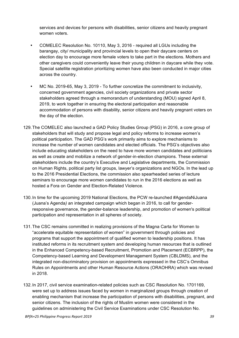services and devices for persons with disabilities, senior citizens and heavily pregnant women voters.

- COMELEC Resolution No. 10110, May 3, 2016 required all LGUs including the barangay, city/ municipality and provincial levels to open their daycare centers on election day to encourage more female voters to take part in the elections. Mothers and other caregivers could conveniently leave their young children in daycare while they vote. Special satellite registration prioritizing women have also been conducted in major cities across the country.
- MC No. 2019-65, May 3, 2019 To further concretize the commitment to inclusivity, concerned government agencies, civil society organizations and private sector stakeholders agreed through a memorandum of understanding (MOU) signed April 8, 2019, to work together in ensuring the electoral participation and reasonable accommodation of persons with disability, senior citizens and heavily pregnant voters on the day of the election.
- 129.The COMELEC also launched a GAD Policy Studies Group (PSG) in 2016, a core group of stakeholders that will study and propose legal and policy reforms to increase women's political participation. The GAD PSG's work primarily aims to explore mechanisms to increase the number of women candidates and elected officials. The PSG's objectives also include educating stakeholders on the need to have more women candidates and politicians as well as create and mobilize a network of gender-in-election champions. These external stakeholders include the country's Executive and Legislative departments, the Commission on Human Rights, political party list groups, lawyer's organizations and NGOs. In the lead up to the 2016 Presidential Elections, the commission also spearheaded series of lecture seminars to encourage more women candidates to run in the 2016 elections as well as hosted a Fora on Gender and Election-Related Violence.
- 130.In time for the upcoming 2019 National Elections, the PCW re-launched #AgendaNiJuana (Juana's Agenda*)* an integrated campaign which began in 2016, to call for genderresponsive governance, the gender-balance leadership, and promotion of women's political participation and representation in all spheres of society.
- 131.The CSC remains committed in realizing provisions of the Magna Carta for Women to "accelerate equitable representation of women" in government through policies and programs that support the appointment of qualified women to leadership positions. It has instituted reforms in its recruitment system and developing human resources that is outlined in the Enhanced Competency-based Recruitment, Promotion and Placement (ECBRPP), the Competency-based Learning and Development Management System (CBLDMS), and the integrated non-discriminatory provision on appointments expressed in the CSC's Omnibus Rules on Appointments and other Human Resource Actions (ORAOHRA) which was revised in 2018.
- 132.In 2017, civil service examination-related policies such as CSC Resolution No. 1701169, were set up to address issues faced by women in marginalized groups through creation of enabling mechanism that increase the participation of persons with disabilities, pregnant, and senior citizens. The inclusion of the rights of Muslim women were considered in the guidelines on administering the Civil Service Examinations under CSC Resolution No.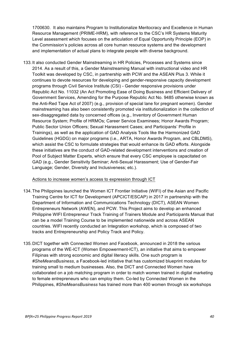1700630. It also maintains Program to Institutionalize Meritocracy and Excellence in Human Resource Management (PRIME-HRM), with reference to the CSC's HR Systems Maturity Level assessment which focuses on the articulation of Equal Opportunity Principle (EOP) in the Commission's policies across all core human resource systems and the development and implementation of actual plans to integrate people with diverse background.

133.It also conducted Gender Mainstreaming in HR Policies, Processes and Systems since 2014. As a result of this, a Gender Mainstreaming Manual with instructional video and HR Toolkit was developed by CSC, in partnership with PCW and the ASEAN Plus 3. While it continues to devote resources for developing and gender-responsive capacity development programs through Civil Service Institute (CSI) - Gender responsive provisions under Republic Act No. 11032 (An Act Promoting Ease of Doing Business and Efficient Delivery of Government Services, Amending for the Purpose Republic Act No. 9485 otherwise known as the Anti-Red Tape Act of 2007) (e.g., provision of special lane for pregnant women). Gender mainstreaming has also been consistently promoted via institutionalization in the collection of sex-disaggregated data by concerned offices (e.g., Inventory of Government Human Resource System; Profile of HRMOs; Career Service Examinees; Honor Awards Program; Public Sector Union Officers; Sexual Harassment Cases; and Participants' Profile in Trainings), as well as the application of GAD Analysis Tools like the Harmonized GAD Guidelines (HGDG) on major programs (i.e., ARTA, Honor Awards Program, and CBLDMS), which assist the CSC to formulate strategies that would enhance its GAD efforts. Alongside these initiatives are the conduct of GAD-related development interventions and creation of Pool of Subject Matter Experts, which ensure that every CSC employee is capacitated on GAD (e.g., Gender Sensitivity Seminar; Anti-Sexual Harassment; Use of Gender-Fair Language; Gender, Diversity and Inclusiveness; etc.).

#### Actions to increase women's access to expression through ICT

- 134.The Philippines launched the Women ICT Frontier Initiative (WIFI) of the Asian and Pacific Training Centre for ICT for Development (APCICT/ESCAP) in 2017 in partnership with the Department of Information and Communications Technology (DICT), ASEAN Women Entrepreneurs Network (AWEN), and PCW. This Project aims to develop an enhanced Philippine WIFI Entrepreneur Track Training of Trainers Module and Participants Manual that can be a model Training Course to be implemented nationwide and across ASEAN countries. WIFI recently conducted an Integration workshop, which is composed of two tracks and Entrepreneurship and Policy Track and Policy.
- 135.DICT together with Connected Women and Facebook, announced in 2018 the various programs of the WE-ICT (Women Empowerment-ICT), an initiative that aims to empower Filipinas with strong economic and digital literacy skills. One such program is *#SheMeansBusiness*, a Facebook-led initiative that has customized blueprint modules for training small to medium businesses. Also, the DICT and Connected Women have collaborated on a job matching program in order to match women trained in digital marketing to female entrepreneurs who can employ them. Co-led by Connected Women in the Philippines, *#SheMeansBusiness* has trained more than 400 women through six workshops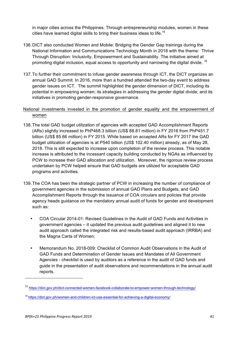in major cities across the Philippines. Through entrepreneurship modules, women in these cities have learned digital skills to bring their business ideas to life.<sup>15</sup>

- 136.DICT also conducted Women and Mobile: Bridging the Gender Gap trainings during the National Information and Communications Technology Month in 2018 with the theme: Thrive Through Disruption: Inclusivity, Empowerment and Sustainability. The initiative aimed at promoting digital inclusion, equal access to opportunity and narrowing the digital divide. <sup>16</sup>
- 137.To further their commitment to infuse gender awareness through ICT, the DICT organizes an annual GAD Summit. In 2016, more than a hundred attended the two-day event to address gender issues on ICT. The summit highlighted the gender dimension of DICT, including its potential in empowering women; its strategies in addressing the gender digital divide; and its initiatives in promoting gender-responsive governance.

#### National investments invested in the promotion of gender equality and the empowerment of women

- 138.The total GAD budget utilization of agencies with accepted GAD Accomplishment Reports (ARs) slightly increased to PhP468.3 billion (US\$ 88.81 million) in FY 2016 from PhP451.7 billion (US\$ 85.66 million) in FY 2015. While based on accepted ARs for FY 2017 the GAD budget utilization of agencies is at P540 billion (US\$ 102.40 million) already, as of May 28, 2018. This is still expected to increase upon completion of the review process. This notable increase is attributed to the incessant capacity building conducted by NGAs as influenced by PCW to increase their GAD allocation and utilization. Moreover, the rigorous review process undertaken by PCW helped ensure that GAD budgets are utilized for acceptable GAD programs and activities.
- 139.The COA has been the strategic partner of PCW in increasing the number of compliance of government agencies in the submission of annual GAD Plans and Budgets, and GAD Accomplishment Reports through the issuance of COA circulars and policies that provide agency heads guidance on the mandatory annual audit of funds for gender and development such as:
	- COA Circular 2014-01: Revised Guidelines in the Audit of GAD Funds and Activities in government agencies – it updated the previous audit guidelines and aligned it to new audit approach called the integrated risk and results-based audit approach (IRRBA) and the Magna Carta of Women;
	- Memorandum No. 2018-009: Checklist of Common Audit Observations in the Audit of GAD Funds and Determination of Gender Issues and Mandates of All Government Agencies - checklist is used by auditors as a reference in the audit of GAD funds and guide in the presentation of audit observations and recommendations in the annual audit reports.

 

<sup>15</sup> https://dict.gov.ph/dict-connected-women-facebook-collaborate-to-empower-women-through-technology/

<sup>&</sup>lt;sup>16</sup> https://dict.gov.ph/women-and-children-ict-use-essential-for-achieving-a-digital-economy/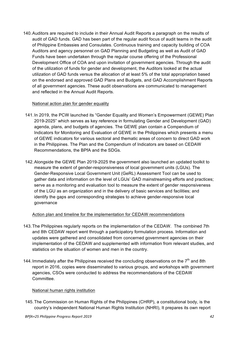140.Auditors are required to include in their Annual Audit Reports a paragraph on the results of audit of GAD funds. GAD has been part of the regular audit focus of audit teams in the audit of Philippine Embassies and Consulates. Continuous training and capacity building of COA Auditors and agency personnel on GAD Planning and Budgeting as well as Audit of GAD Funds have been undertaken through the regular course offering of the Professional Development Office of COA and upon invitation of government agencies. Through the audit of the utilization of funds for gender and development, the Auditors looked at the actual utilization of GAD funds versus the allocation of at least 5% of the total appropriation based on the endorsed and approved GAD Plans and Budgets, and GAD Accomplishment Reports of all government agencies. These audit observations are communicated to management and reflected in the Annual Audit Reports.

#### National action plan for gender equality

- 141.In 2019, the PCW launched its "Gender Equality and Women's Empowerment (GEWE) Plan 2019-2025" which serves as key reference in formulating Gender and Development (GAD) agenda, plans, and budgets of agencies. The GEWE plan contain a Compendium of Indicators for Monitoring and Evaluation of GEWE in the Philippines which presents a menu of GEWE indicators for various sectoral and thematic areas of concern to direct GAD work in the Philippines. The Plan and the Compendium of Indicators are based on CEDAW Recommendations, the BPfA and the SDGs.
- 142.Alongside the GEWE Plan 2019-2025 the government also launched an updated toolkit to measure the extent of gender-responsiveness of local government units (LGUs). The Gender-Responsive Local Government Unit (GeRL) Assessment Tool can be used to gather data and information on the level of LGUs' GAD mainstreaming efforts and practices; serve as a monitoring and evaluation tool to measure the extent of gender responsiveness of the LGU as an organization and in the delivery of basic services and facilities; and identify the gaps and corresponding strategies to achieve gender-responsive local governance

#### Action plan and timeline for the implementation for CEDAW recommendations

- 143.The Philippines regularly reports on the implementation of the CEDAW. The combined 7th and 8th CEDAW report went through a participatory formulation process. Information and updates were gathered and consolidated from concerned government agencies on their implementation of the CEDAW and supplemented with information from relevant studies, and statistics on the situation of women and men in the country.
- 144. Immediately after the Philippines received the concluding observations on the  $7<sup>th</sup>$  and 8th report in 2016, copies were disseminated to various groups, and workshops with government agencies, CSOs were conducted to address the recommendations of the CEDAW Committee.

#### National human rights institution

145.The Commission on Human Rights of the Philippines (CHRP), a constitutional body, is the country's independent National Human Rights Institution (NHRI), It prepares its own report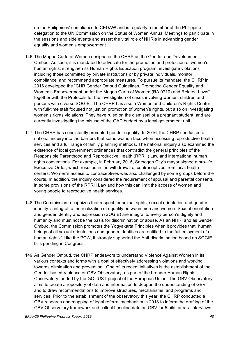on the Philippines' compliance to CEDAW and is regularly a member of the Philippine delegation to the UN Commission on the Status of Women Annual Meetings to participate in the sessions and side events and assert the vital role of NHRIs in advancing gender equality and women's empowerment

- 146.The Magna Carta of Women designates the CHRP as the Gender and Development Ombud. As such, it is mandated to advocate for the promotion and protection of women's human rights, strengthen its Human Rights Education program, investigate violations including those committed by private institutions or by private individuals, monitor compliance, and recommend appropriate measures. To pursue its mandate, the CHRP in 2016 developed the "CHR Gender Ombud Guidelines, Promoting Gender Equality and Women's Empowerment under the Magna Carta of Women (RA 9710) and Related Laws" together with the Protocols for the investigation of cases involving women, children and persons with diverse SOGIE. The CHRP has also a Women and Children's Rights Center with full-time staff focused not just on promotion of women's rights, but also on investigating women's rights violations. They have ruled on the dismissal of a pregnant student, and are currently investigating the misuse of the GAD budget by a local government unit.
- 147.The CHRP has consistently promoted gender equality. In 2016, the CHRP conducted a national inquiry into the barriers that some women face when accessing reproductive health services and a full range of family planning methods. The national inquiry also examined the existence of local government ordinances that contradict the general principles of the Responsible Parenthood and Reproductive Health (RPRH) Law and international human rights conventions. For example, in February 2015, Sorsogon City's mayor signed a pro-life Executive Order, which resulted in the withdrawal of contraceptives from local health centers. Women's access to contraceptives was also challenged by some groups before the courts. In addition, the inquiry considered the requirement of spousal and parental consents in some provisions of the RPRH Law and how this can limit the access of women and young people to reproductive health services.
- 148.The Commission recognizes that respect for sexual rights, sexual orientation and gender identity is integral to the realization of equality between men and women. Sexual orientation and gender identity and expression (SOGIE) are integral to every person's dignity and humanity and must not be the basis for discrimination or abuse. As an NHRI and as Gender Ombud, the Commission promotes the Yogyakarta Principles when it provides that "human beings of all sexual orientations and gender identities are entitled to the full enjoyment of all human rights." Like the PCW, it strongly supported the Anti-discrimination based on SOGIE bills pending in Congress.
- 149.As Gender Ombud, the CHRP endeavors to understand Violence Against Women in its various contexts and forms with a goal of effectively addressing violations and working towards elimination and prevention. One of its recent initiatives is the establishment of the Gender-based Violence or GBV Observatory, as part of the broader Human Rights Observatory funded by the GO JUST project of the European Union. The GBV Observatory aims to create a repository of data and information to deepen the understanding of GBV and to draw recommendations to improve structures, mechanisms, and programs and services. Prior to the establishment of the observatory this year, the CHRP conducted a GBV research and mapping of legal referral mechanism in 2018 to inform the drafting of the GBV Observatory framework and collect baseline data on GBV for 5 pilot areas. Interviews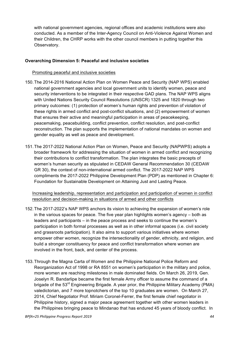with national government agencies, regional offices and academic institutions were also conducted. As a member of the Inter-Agency Council on Anti-Violence Against Women and their Children, the CHRP works with the other council members in putting together this Observatory.

#### **Overarching Dimension 5: Peaceful and inclusive societies**

#### Promoting peaceful and inclusive societies

- 150.The 2014-2016 National Action Plan on Women Peace and Security (NAP WPS) enabled national government agencies and local government units to identify women, peace and security interventions to be integrated in their respective GAD plans. The NAP WPS aligns with United Nations Security Council Resolutions (UNSCR) 1325 and 1820 through two primary outcomes: (1) protection of women's human rights and prevention of violation of these rights in armed conflict and post-conflict situations, and (2) empowerment of women that ensures their active and meaningful participation in areas of peacekeeping, peacemaking, peacebuilding, conflict prevention, conflict resolution, and post-conflict reconstruction. The plan supports the implementation of national mandates on women and gender equality as well as peace and development.
- 151.The 2017-2022 National Action Plan on Women, Peace and Security (NAPWPS) adopts a broader framework for addressing the situation of women in armed conflict and recognizing their contributions to conflict transformation. The plan integrates the basic precepts of women's human security as stipulated in CEDAW General Recommendation 30 (CEDAW GR 30), the context of non-international armed conflict. The 2017-2022 NAP WPS compliments the 2017-2022 Philippine Development Plan (PDP) as mentioned in Chapter 6: Foundation for Sustainable Development on Attaining Just and Lasting Peace.

Increasing leadership, representation and participation and participation of women in conflict resolution and decision-making in situations of armed and other conflicts

- 152.The 2017-2022's NAP WPS anchors its vision to achieving the expansion of women's role in the various spaces for peace. The five year plan highlights women's agency – both as leaders and participants – in the peace process and seeks to continue the women's participation in both formal processes as well as in other informal spaces (i.e. civil society and grassroots participation). It also aims to support various initiatives where women empower other women, recognize the intersectionality of gender, ethnicity, and religion, and build a stronger constituency for peace and conflict transformation where women are involved in the front, back, and center of the process.
- 153.Through the Magna Carta of Women and the Philippine National Police Reform and Reorganization Act of 1998 or RA 8551 on women's participation in the military and police, more women are reaching milestones in male dominated fields. On March 26, 2019, Gen. Joselyn R. Bandarlipe became the first female Army officer to assume the command of a brigade of the 53<sup>rd</sup> Engineering Brigade. A year prior, the Philippine Military Academy (PMA) valedictorian, and 7 more topnotchers of the top 10 graduates are women. On March 27, 2014, Chief Negotiator Prof. Miriam Coronel-Ferrer, the first female chief negotiator in Philippine history, signed a major peace agreement together with other women leaders in the Philippines bringing peace to Mindanao that has endured 45 years of bloody conflict. In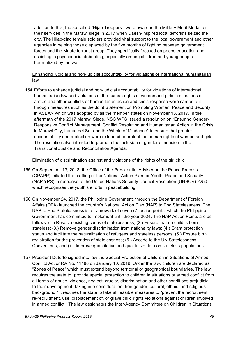addition to this, the so-called "Hijab Troopers", were awarded the Military Merit Medal for their services in the Marawi siege in 2017 when Daesh-inspired local terrorists seized the city. The Hijab-clad female soldiers provided vital support to the local government and other agencies in helping those displaced by the five months of fighting between government forces and the Maute terrorist group. They specifically focused on peace education and assisting in psychosocial debriefing, especially among children and young people traumatized by the war.

Enhancing judicial and non-judicial accountability for violations of international humanitarian law

154.Efforts to enhance judicial and non-judicial accountability for violations of international humanitarian law and violations of the human rights of women and girls in situations of armed and other conflicts or humanitarian action and crisis response were carried out through measures such as the Joint Statement on Promoting Women, Peace and Security in ASEAN which was adopted by all the member states on November 13, 2017. In the aftermath of the 2017 Marawi Siege, NSC WPS issued a resolution on "Ensuring Gender-Responsive Conflict Management, Conflict Resolution and Humanitarian Action in the Crisis in Marawi City, Lanao del Sur and the Whole of Mindanao" to ensure that greater accountability and protection were extended to protect the human rights of women and girls. The resolution also intended to promote the inclusion of gender dimension in the Transitional Justice and Reconciliation Agenda.

#### Elimination of discrimination against and violations of the rights of the girl child

- 155.On September 13, 2018, the Office of the Presidential Adviser on the Peace Process (OPAPP) initiated the crafting of the National Action Plan for Youth, Peace and Security (NAP YPS) in response to the United Nations Security Council Resolution (UNSCR) 2250 which recognizes the youth's efforts in peacebuilding.
- 156.On November 24, 2017, the Philippine Government, through the Department of Foreign Affairs (DFA) launched the country's National Action Plan (NAP) to End Statelessness. The NAP to End Statelessness is a framework of seven (7) action points, which the Philippine Government has committed to implement until the year 2024. The NAP Action Points are as follows: (1.) Resolve existing cases of statelessness; (2.) Ensure that no child is born stateless; (3.) Remove gender discrimination from nationality laws; (4.) Grant protection status and facilitate the naturalization of refugees and stateless persons; (5.) Ensure birth registration for the prevention of statelessness; (6.) Accede to the UN Statelessness Conventions; and (7.) Improve quantitative and qualitative data on stateless populations.
- 157.President Duterte signed into law the Special Protection of Children in Situations of Armed Conflict Act or RA No. 11188 on January 10, 2019. Under the law, children are declared as "Zones of Peace" which must extend beyond territorial or geographical boundaries. The law requires the state to "provide special protection to children in situations of armed conflict from all forms of abuse, violence, neglect, cruelty, discrimination and other conditions prejudicial to their development, taking into consideration their gender, cultural, ethnic, and religious background." It requires the state to take all feasible measures to "prevent the recruitment, re-recruitment, use, displacement of, or grave child rights violations against children involved in armed conflict." The law designates the Inter-Agency Committee on Children in Situations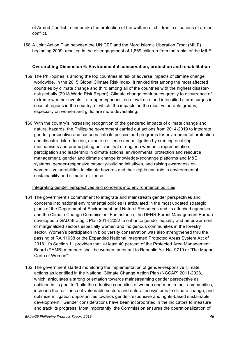of Armed Conflict to undertake the protection of the welfare of children in situations of armed conflict.

158.A Joint Action Plan between the UNICEF and the Moro Islamic Liberation Front (MILF) beginning 2009, resulted in the disengagement of 1,869 children from the ranks of the MILF.

#### **Overarching Dimension 6: Environmental conservation, protection and rehabilitation**

- 159.The Philippines is among the top countries at risk of adverse impacts of climate change worldwide. In the 2015 Global Climate Risk Index, it ranked first among the most affected countries by climate change and third among all of the countries with the highest disasterrisk globally (2018 World Risk Report). Climate change contributes greatly to occurrence of extreme weather events – stronger typhoons, sea-level rise, and intensified storm surges in coastal regions in the country, of which, the impacts on the most vulnerable groups, especially on women and girls, are more devastating.
- 160.With the country's increasing recognition of the gendered impacts of climate change and natural hazards, the Philippine government carried out actions from 2014-2019 to integrate gender perspective and concerns into its policies and programs for environmental protection and disaster risk reduction, climate resilience and mitigation by creating enabling mechanisms and promulgating policies that strengthen women's representation, participation and leadership in climate actions, environmental protection and resource management, gender and climate change knowledge-exchange platforms and M&E systems, gender-responsive capacity-building initiatives, and raising awareness on women's vulnerabilities to climate hazards and their rights and role in environmental sustainability and climate resilience.

#### Integrating gender perspectives and concerns into environmental policies

- 161.The government's commitment to integrate and mainstream gender perspectives and concerns into national environmental policies is articulated in the most updated strategic plans of the Department of Environment and Natural Resources and its attached agencies and the Climate Change Commission. For instance, the DENR-Forest Management Bureau developed a GAD Strategic Plan 2018-2022 to enhance gender equality and empowerment of marginalized sectors especially women and indigenous communities in the forestry sector. Women's participation in biodiversity conservation was also strengthened thru the passing of RA 11038 or the Expanded National Integrated Protected Areas System Act of 2018. It's Section 11 provides that "at least 40 percent of the Protected Area Management Board (PAMB) members shall be women, pursuant to Republic Act No. 9710 or 'The Magna Carta of Women'".
- 162.The government started monitoring the implementation of gender-responsive climate actions as identified in the National Climate Change Action Plan (NCCAP) 2011-2028, which, articulates a strong orientation towards mainstreaming gender perspective as outlined in its goal to "build the adaptive capacities of women and men in their communities, increase the resilience of vulnerable sectors and natural ecosystems to climate change, and optimize mitigation opportunities towards gender-responsive and rights-based sustainable development." Gender considerations have been incorporated in the indicators to measure and track its progress. Most importantly, the Commission ensures the operationalization of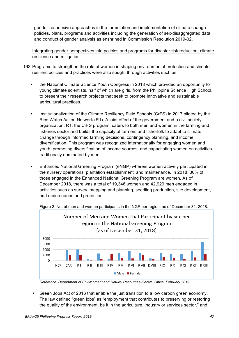gender-responsive approaches in the formulation and implementation of climate change policies, plans, programs and activities including the generation of sex-disaggregated data and conduct of gender analysis as enshrined in Commission Resolution 2019-02.

Integrating gender perspectives into policies and programs for disaster risk reduction, climate resilience and mitigation

- 163.Programs to strengthen the role of women in shaping environmental protection and climateresilient policies and practices were also sought through activities such as:
	- the National Climate Science Youth Congress in 2018 which provided an opportunity for young climate scientists, half of which are girls, from the Philippine Science High School, to present their research projects that seek to promote innovative and sustainable agricultural practices.
	- Institutionalization of the Climate Resiliency Field Schools (CrFS) in 2017 piloted by the Rice Watch Action Network (R1). A joint effort of the government and a civil society organization, R1, the CrFS program, caters to both men and women in the farming and fisheries sector and builds the capacity of farmers and fisherfolk to adapt to climate change through informed farming decisions, contingency planning, and income diversification. This program was recognized internationally for engaging women and youth, promoting diversification of income sources, and capacitating women on activities traditionally dominated by men.
	- Enhanced National Greening Program (eNGP) wherein women actively participated in the nursery operations, plantation establishment, and maintenance. In 2018, 30% of those engaged in the Enhanced National Greening Program are women. As of December 2018, there was a total of 19,346 women and 42,929 men engaged in activities such as survey, mapping and planning, seedling production, site development, and maintenance and protection.



Figure 2. No. of men and women participants in the NGP per region, as of December 31, 2018.

• Green Jobs Act of 2016 that enable the just transition to a low carbon green economy. The law defined "green jobs" as "employment that contributes to preserving or restoring the quality of the environment, be it in the agriculture, industry or services sector," and

*Reference: Department of Environment and Natural Resources-Central Office, February 2019*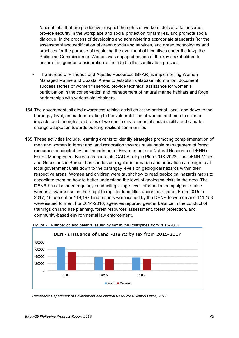"decent jobs that are productive, respect the rights of workers, deliver a fair income, provide security in the workplace and social protection for families, and promote social dialogue. In the process of developing and administering appropriate standards (for the assessment and certification of green goods and services, and green technologies and practices for the purpose of regulating the availment of incentives under the law), the Philippine Commission on Women was engaged as one of the key stakeholders to ensure that gender consideration is included in the certification process.

- The Bureau of Fisheries and Aquatic Resources (BFAR) is implementing Women-Managed Marine and Coastal Areas to establish database information, document success stories of women fisherfolk, provide technical assistance for women's participation in the conservation and management of natural marine habitats and forge partnerships with various stakeholders.
- 164.The government initiated awareness-raising activities at the national, local, and down to the barangay level, on matters relating to the vulnerabilities of women and men to climate impacts, and the rights and roles of women in environmental sustainability and climate change adaptation towards building resilient communities.
- 165.These activities include, learning events to identify strategies promoting complementation of men and women in forest and land restoration towards sustainable management of forest resources conducted by the Department of Environment and Natural Resources (DENR)- Forest Management Bureau as part of its GAD Strategic Plan 2018-2022. The DENR-Mines and Geosciences Bureau has conducted regular information and education campaign to all local government units down to the barangay levels on geological hazards within their respective areas. Women and children were taught how to read geological hazards maps to capacitate them on how to better understand the level of geological risks in the area. The DENR has also been regularly conducting village-level information campaigns to raise women's awareness on their right to register land titles under their name. From 2015 to 2017, 46 percent or 119,197 land patents were issued by the DENR to women and 141,158 were issued to men. For 2014-2016, agencies reported gender balance in the conduct of trainings on land use planning, forest resources assessment, forest protection, and community-based environmental law enforcement.





*Reference: Department of Environment and Natural Resources-Central Office, 2019*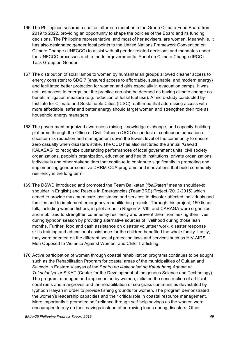- 166.The Philippines secured a seat as alternate member in the Green Climate Fund Board from 2019 to 2022, providing an opportunity to shape the policies of the Board and its funding decisions. The Philippine representative, and most of her advisers, are women. Meanwhile, it has also designated gender focal points to the United Nations Framework Convention on Climate Change (UNFCCC) to assist with all gender-related decisions and mandates under the UNFCCC processes and to the Intergovernmental Panel on Climate Change (IPCC) Task Group on Gender.
- 167.The distribution of solar lamps to women by humanitarian groups allowed cleaner access to energy consistent to SDG 7 (ensured access to affordable, sustainable, and modern energy) and facilitated better protection for women and girls especially in evacuation camps. It was not just access to energy, but the practice can also be deemed as having climate change cobenefit mitigation measure (e.g. reduction of fossil fuel use). A micro-study conducted by Institute for Climate and Sustainable Cities (ICSC) reaffirmed that addressing access with more affordable, safer and better energy should target women and strengthen their role as household energy managers.
- 168.The government organized awareness-raising, knowledge exchange, and capacity-building platforms through the Office of Civil Defense (OCD)'s conduct of continuous education of disaster risk reduction and management down the lowest level of the community to ensure zero casualty when disasters strike. The OCD has also instituted the annual "Gawad KALASAG" to recognize outstanding performances of local government units, civil society organizations, people's organization, education and health institutions, private organizations, individuals and other stakeholders that continue to contribute significantly in promoting and implementing gender-sensitive DRRM-CCA programs and innovations that build community resiliency in the long term.
- 169.The DSWD introduced and promoted the Team Balikatan (*"balikatan"* means shoulder-to shoulder in English) and Rescue in Emergencies (TeamBRE) Project (2012-2015) which aimed to provide maximum care, assistance and services to disaster-affected individuals and families and to implement emergency rehabilitation projects. Through this project, 150 fisher folk, including women fishers, in pilot areas in Region V, VIII, and CARAGA were organized and mobilized to strengthen community resiliency and prevent them from risking their lives during typhoon season by providing alternative sources of livelihood during those lean months. Further, food and cash assistance on disaster volunteer work, disaster response skills training and educational assistance for the children benefited the whole family. Lastly, they were oriented on the different social protection laws and services such as HIV-AIDS, Men Opposed to Violence Against Women, and Child Trafficking.
- 170.Active participation of women through coastal rehabilitation programs continues to be sought such as the Rehabilitation Program for coastal areas of the municipalities of Guiuan and Salcedo in Eastern Visayas of the *Sentro ng Ikakaunlad ng Katutubong Agham at Teknolohiya' or* SIKAT (Center for the Development of Indigenous Science and Technology). The program, managed and implemented by women, initiated the construction of artificial coral reefs and mangroves and the rehabilitation of see grass communities devastated by typhoon Haiyan in order to provide fishing grounds for women. The program demonstrated the women's leadership capacities and their critical role in coastal resource management. More importantly it promoted self-reliance through self-help savings as the women were encouraged to rely on their savings instead of borrowing loans during disasters. Other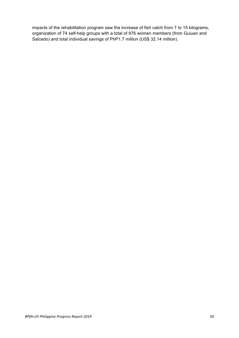impacts of the rehabilitation program saw the increase of fish catch from 7 to 15 kilograms, organization of 74 self-help groups with a total of 976 women members (from Guiuan and Salcedo) and total individual savings of PhP1.7 million (US\$ 32.14 million).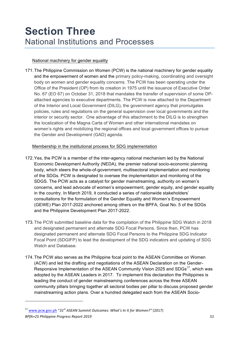### **Section Three** National Institutions and Processes

#### National machinery for gender equality

171.The Philippine Commission on Women (PCW) is the national machinery for gender equality and the empowerment of women and the primary policy-making, coordinating and oversight body on women and gender equality concerns. The PCW has been operating under the Office of the President (OP) from its creation in 1975 until the issuance of Executive Order No. 67 (EO 67) on October 31, 2018 that mandates the transfer of supervision of some OPattached agencies to executive departments. The PCW is now attached to the Department of the Interior and Local Government (DILG), the government agency that promulgates policies, rules and regulations on the general supervision over local governments and the interior or security sector. One advantage of this attachment to the DILG is to strengthen the localization of the Magna Carta of Women and other international mandates on women's rights and mobilizing the regional offices and local government offices to pursue the Gender and Development (GAD) agenda.

Membership in the institutional process for SDG implementation

- 172.Yes, the PCW is a member of the inter-agency national mechanism led by the National Economic Development Authority (NEDA), the premier national socio-economic planning body, which steers the whole-of-government, multisectoral implementation and monitoring of the SDGs. PCW is designated to oversee the implementation and monitoring of the SDGS. The PCW acts as a catalyst for gender mainstreaming, authority on women's concerns, and lead advocate of women's empowerment, gender equity, and gender equality in the country. In March 2019, it conducted a series of nationwide stakeholders' consultations for the formulation of the Gender Equality and Women's Empowerment (GEWE) Plan 2017-2022 anchored among others on the BPFA, Goal No. 5 of the SDGs and the Philippine Development Plan 2017-2022.
- 173.The PCW submitted baseline data for the compilation of the Philippine SDG Watch in 2018 and designated permanent and alternate SDG Focal Persons. Since then, PCW has designated permanent and alternate SDG Focal Persons to the Philippine SDG Indicator Focal Point (SDGIFP) to lead the development of the SDG indicators and updating of SDG Watch and Database.
- 174.The PCW also serves as the Philippine focal point to the ASEAN Committee on Women (ACW) and led the drafting and negotiations of the ASEAN Declaration on the Gender-Responsive Implementation of the ASEAN Community Vision 2025 and SDGs<sup>17</sup>, which was adopted by the ASEAN Leaders in 2017. To implement this declaration the Philippines is leading the conduct of gender mainstreaming conferences across the three ASEAN community pillars bringing together all sectoral bodies per pillar to discuss proposed gender mainstreaming action plans. Over a hundred delegated each from the ASEAN Socio-

 

*BPfA+25 Philippine Progress Report 2019 51* <sup>17</sup> www.pcw.gov.ph "31<sup>st</sup> ASEAN Summit Outcomes: What's In It for Women?" (2017)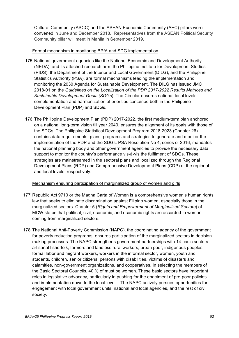Cultural Community (ASCC) and the ASEAN Economic Community (AEC) pillars were convened in June and December 2018. Representatives from the ASEAN Political Security Community pillar will meet in Manila in September 2019.

#### Formal mechanism in monitoring BPfA and SDG implementation

- 175.National government agencies like the National Economic and Development Authority (NEDA); and its attached research arm, the Philippine Institute for Development Studies (PIDS), the Department of the Interior and Local Government (DILG); and the Philippine Statistics Authority (PSA), are formal mechanisms leading the implementation and monitoring the 2030 Agenda for Sustainable Development. The DILG has issued JMC 2018-01 on the *Guidelines on the Localization of the PDP 2017-2022 Results Matrices and Sustainable Development Goals (SDGs*). The Circular ensures national-local levels complementation and harmonization of priorities contained both in the Philippine Development Plan (PDP) and SDGs.
- 176.The Philippine Development Plan (PDP) 2017-2022, the first medium-term plan anchored on a national long-term vision till year 2040, ensures the alignment of its goals with those of the SDGs. The Philippine Statistical Development Program 2018-2023 (Chapter 26) contains data requirements, plans, programs and strategies to generate and monitor the implementation of the PDP and the SDGs. PSA Resolution No 4, series of 2016, mandates the national planning body and other government agencies to provide the necessary data support to monitor the country's performance vis-à-vis the fulfilment of SDGs. These strategies are mainstreamed in the sectoral plans and localized through the Regional Development Plans (RDP) and Comprehensive Development Plans (CDP) at the regional and local levels, respectively.

#### Mechanism ensuring participation of marginalized group of women and girls

- 177.Republic Act 9710 or the Magna Carta of Women is a comprehensive women's human rights law that seeks to eliminate discrimination against Filipino women, especially those in the marginalized sectors. Chapter 5 (*Rights and Empowerment of Marginalized Sectors*) of MCW states that political, civil, economic, and economic rights are accorded to women coming from marginalized sectors.
- 178.The National Anti-Poverty Commission (NAPC), the coordinating agency of the government for poverty reduction programs, ensures participation of the marginalized sectors in decisionmaking processes. The NAPC strengthens government partnerships with 14 basic sectors: artisanal fisherfolk, farmers and landless rural workers, urban poor, indigenous peoples, formal labor and migrant workers, workers in the informal sector, women, youth and students, children, senior citizens, persons with disabilities, victims of disasters and calamities, non-government organizations, and cooperatives. In selecting the members of the Basic Sectoral Councils, 40 % of must be women. These basic sectors have important roles in legislative advocacy, particularly in pushing for the enactment of pro-poor policies and implementation down to the local level. The NAPC actively pursues opportunities for engagement with local government units, national and local agencies, and the rest of civil society.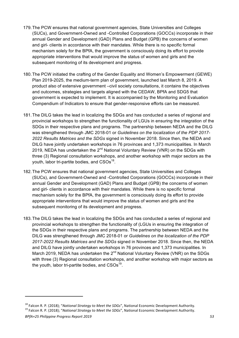- 179.The PCW ensures that national government agencies, State Universities and Colleges (SUCs), and Government-Owned and -Controlled Corporations (GOCCs) incorporate in their annual Gender and Development (GAD) Plans and Budget (GPB) the concerns of women and girl- clients in accordance with their mandates. While there is no specific formal mechanism solely for the BPfA, the government is consciously doing its effort to provide appropriate interventions that would improve the status of women and girls and the subsequent monitoring of its development and progress.
- 180.The PCW initiated the crafting of the Gender Equality and Women's Empowerment (GEWE) Plan 2019-2025, the medium-term plan of government, launched last March 8, 2019. A product also of extensive government –civil society consultations, it contains the objectives and outcomes, strategies and targets aligned with the CEDAW, BPfA and SDG5 that government is expected to implement. It is accompanied by the Monitoring and Evaluation Compendium of Indicators to ensure that gender-responsive efforts can be measured.
- 181.The DILG takes the lead in localizing the SDGs and has conducted a series of regional and provincial workshops to strengthen the functionality of LGUs in ensuring the integration of the SDGs in their respective plans and programs. The partnership between NEDA and the DILG was strengthened through JMC 2018-01 or *Guidelines on the localization of the PDP 2017- 2022 Results Matrices and the SDGs* signed in November 2018. Since then, the NEDA and DILG have jointly undertaken workshops in 76 provinces and 1,373 municipalities. In March 2019, NEDA has undertaken the  $2^{nd}$  National Voluntary Review (VNR) on the SDGs with three (3) Regional consultation workshops, and another workshop with major sectors as the youth, labor tri-partite bodies, and  $CSOs^{18}$ .
- 182.The PCW ensures that national government agencies, State Universities and Colleges (SUCs), and Government-Owned and -Controlled Corporations (GOCCs) incorporate in their annual Gender and Development (GAD) Plans and Budget (GPB) the concerns of women and girl- clients in accordance with their mandates. While there is no specific formal mechanism solely for the BPfA, the government is consciously doing its effort to provide appropriate interventions that would improve the status of women and girls and the subsequent monitoring of its development and progress.
- 183.The DILG takes the lead in localizing the SDGs and has conducted a series of regional and provincial workshops to strengthen the functionality of (LGUs in ensuring the integration of the SDGs in their respective plans and programs. The partnership between NEDA and the DILG was strengthened through JMC 2018-01 or *Guidelines on the localization of the PDP 2017-2022 Results Matrices and the SDGs* signed in November 2018. Since then, the NEDA and DILG have jointly undertaken workshops in 76 provinces and 1,373 municipalities. In March 2019, NEDA has undertaken the  $2^{nd}$  National Voluntary Review (VNR) on the SDGs with three (3) Regional consultation workshops, and another workshop with major sectors as the youth, labor tri-partite bodies, and  $CSOs<sup>19</sup>$ .

<sup>&</sup>lt;sup>18</sup> Falcon R. P. (2018); "*National Strategy to Meet the SDGs"*, National Economic Development Authority.<br><sup>19</sup> Falcon R. P. (2018); "*National Strategy to Meet the SDGs"*, National Economic Development Authority.

*BPfA+25 Philippine Progress Report 2019 53*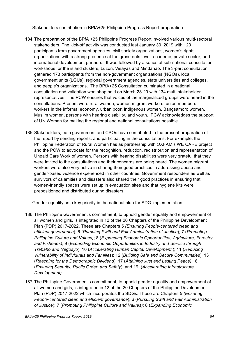Stakeholders contribution in BPfA+25 Philippine Progress Report preparation

- 184.The preparation of the BPfA +25 Philippine Progress Report involved various multi-sectoral stakeholders. The kick-off activity was conducted last January 30, 2019 with 120 participants from government agencies, civil society organizations, women's rights organizations with a strong presence at the grassroots level, academe, private sector, and international development partners. It was followed by a series of sub-national consultation workshops for the island clusters, Luzon, Visayas and Mindanao. The 3-part consultation gathered 173 participants from the non-government organizations (NGOs), local government units (LGUs), regional government agencies, state universities and colleges, and people's organizations. The BPfA+25 Consultation culminated in a national consultation and validation workshop held on March 28-29 with 134 multi-stakeholder representatives. The PCW ensures that voices of the marginalized groups were heard in the consultations. Present were rural women, women migrant workers, union members, workers in the informal economy, urban poor, indigenous women, Bangsamoro women, Muslim women, persons with hearing disability, and youth. PCW acknowledges the support of UN Women for making the regional and national consultations possible.
- 185.Stakeholders, both government and CSOs have contributed to the present preparation of the report by sending reports, and participating in the consultations. For example, the Philippine Federation of Rural Women has as partnership with OXFAM's WE CARE project and the PCW to advocate for the recognition, reduction, redistribution and representation of Unpaid Care Work of women. Persons with hearing disabilities were very grateful that they were invited to the consultations and their concerns are being heard. The women migrant workers were also very active in sharing their good practices in addressing abuse and gender-based violence experienced in other countries. Government responders as well as survivors of calamities and disasters also shared their good practices in ensuring that women-friendly spaces were set up in evacuation sites and that hygiene kits were prepositioned and distributed during disasters.

#### Gender equality as a key priority in the national plan for SDG implementation

- 186.The Philippine Government's commitment, to uphold gender equality and empowerment of all women and girls, is integrated in 12 of the 20 Chapters of the Philippine Development Plan (PDP) 2017-2022. These are Chapters 5 *(Ensuring People-centered clean and efficient governance*); 6 (*Pursuing Swift and Fair Administration of Justice*); 7 (*Promoting Philippine Culture and Values)*; 8 (*Expanding Economic Opportunities, Agriculture, Forestry and Fisheries)*; 9 (*Expanding Economic Opportunities in Industry and Service through Trabaho and Negosyo*); 10 (*Accelerating Human Capital Development* ); 11 (*Reducing Vulnerability of Individuals and Families*); 12 (*Building Safe and Secure Communities*); 13 (*Reaching for the Demographic Dividend*); 17 (*Attaining Just and Lasting Peace)*;18 (*Ensuring Security, Public Order, and Safety*); and 19 (*Accelerating Infrastructure Development)*.
- 187.The Philippine Government's commitment, to uphold gender equality and empowerment of all women and girls, is integrated in 12 of the 20 Chapters of the Philippine Development Plan (PDP) 2017-2022 which incorporates the SDGs. These are Chapters 5 *(Ensuring People-centered clean and efficient governance*); 6 (*Pursuing Swift and Fair Administration of Justice*); 7 (*Promoting Philippine Culture and Values)*; 8 (*Expanding Economic*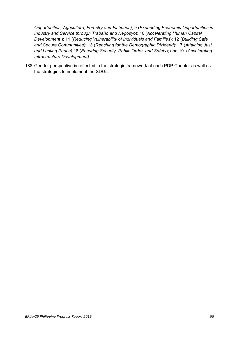*Opportunities, Agriculture, Forestry and Fisheries)*; 9 (*Expanding Economic Opportunities in Industry and Service through Trabaho and Negosyo*); 10 (*Accelerating Human Capital Development* ); 11 (*Reducing Vulnerability of Individuals and Families*); 12 (*Building Safe and Secure Communities*); 13 (*Reaching for the Demographic Dividend*); 17 (*Attaining Just and Lasting Peace)*;18 (*Ensuring Security, Public Order, and Safety*); and 19 (*Accelerating Infrastructure Development)*.

188.Gender perspective is reflected in the strategic framework of each PDP Chapter as well as the strategies to implement the SDGs.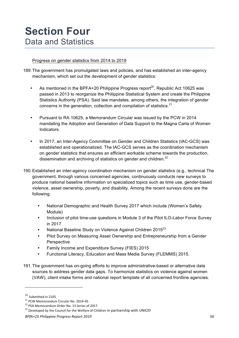### **Section Four** Data and Statistics

#### Progress on gender statistics from 2014 to 2019

- 189.The government has promulgated laws and policies, and has established an inter-agency mechanism, which set out the development of gender statistics:
	- As mentioned in the BPFA+20 Philippine Progress report<sup>20</sup>. Republic Act 10625 was passed in 2013 to reorganize the Philippine Statistical System and create the Philippine Statistics Authority (PSA). Said law mandates, among others, the integration of gender concerns in the generation, collection and compilation of statistics.<sup>21</sup>
	- Pursuant to RA 10625, a Memorandum Circular was issued by the PCW in 2014 mandating the Adoption and Generation of Data Support to the Magna Carta of Women Indicators.
	- In 2017, an Inter-Agency Committee on Gender and Children Statistics (IAC-GCS) was established and operationalized. The IAC-GCS serves as the coordination mechanism on gender statistics that ensures an efficient workable scheme towards the production, dissemination and archiving of statistics on gender and children. $^{22}$
- 190.Established an inter-agency coordination mechanism on gender statistics (e.g., technical The government, through various concerned agencies, continuously conducts new surveys to produce national baseline information on specialized topics such as time use, gender-based violence, asset ownership, poverty, and disability. Among the recent surveys done are the following:
	- National Demographic and Health Survey 2017 which include (Women's Safety Module)
	- Inclusion of pilot time-use questions in Module 3 of the Pilot ILO-Labor Force Survey in 2017
	- National Baseline Study on Violence Against Children 2015<sup>23</sup>
	- Pilot Survey on Measuring Asset Ownership and Entrepreneurship from a Gender **Perspective**
	- Family Income and Expenditure Survey (FIES) 2015
	- Functional Literacy, Education and Mass Media Survey (FLEMMS) 2015.
- 191.The government has on-going efforts to improve administrative-based or alternative data sources to address gender data gaps. To harmonize statistics on violence against women (VAW), client intake forms and national report template of all concerned frontline agencies.

 $^{20}$  Submitted in 2105<br> $^{21}$  PCW Memorandum Circular No. 2014-05

 $22$  PSA Memorandum Order No. 13 Series of 2017

<sup>&</sup>lt;sup>23</sup> Developed by the Council for the Welfare of Children in partnership with UNICEF

*BPfA+25 Philippine Progress Report 2019 56*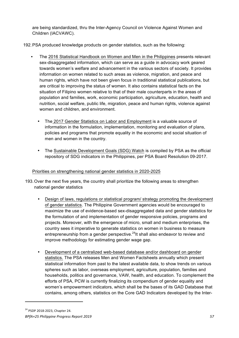are being standardized, thru the Inter-Agency Council on Violence Against Women and Children (IACVAWC).

192.PSA produced knowledge products on gender statistics, such as the following:

- The 2016 Statistical Handbook on Women and Men in the Philippines presents relevant sex-disaggregated information, which can serve as a guide in advocacy work geared towards women's welfare and advancement in the various sectors of society. It provides information on women related to such areas as violence, migration, and peace and human rights, which have not been given focus in traditional statistical publications, but are critical to improving the status of women. It also contains statistical facts on the situation of Filipino women relative to that of their male counterparts in the areas of population and families, work, economic participation, agriculture, education, health and nutrition, social welfare, public life, migration, peace and human rights, violence against women and children, and environment.
	- The 2017 Gender Statistics on Labor and Employment is a valuable source of information in the formulation, implementation, monitoring and evaluation of plans, policies and programs that promote equality in the economic and social situation of men and women in the country.
	- The Sustainable Development Goals (SDG) Watch is compiled by PSA as the official repository of SDG indicators in the Philippines, per PSA Board Resolution 09-2017.

#### Priorities on strengthening national gender statistics in 2020-2025

- 193.Over the next five years, the country shall prioritize the following areas to strengthen national gender statistics
	- Design of laws, regulations or statistical program/ strategy promoting the development of gender statistics. The Philippine Government agencies would be encouraged to maximize the use of evidence-based sex-disaggregated data and gender statistics for the formulation of and implementation of gender responsive policies, programs and projects. Moreover, with the emergence of micro, small and medium enterprises, the country sees it imperative to generate statistics on women in business to measure entrepreneurship from a gender perspective.<sup>24</sup>It shall also endeavor to review and improve methodology for estimating gender wage gap.
	- Development of a centralized web-based database and/or dashboard on gender statistics. The PSA releases Men and Women Factsheets annually which present statistical information from past to the latest available data, to show trends on various spheres such as labor, overseas employment, agriculture, population, families and households, politics and governance, VAW, health, and education. To complement the efforts of PSA, PCW is currently finalizing its compendium of gender equality and women's empowerment indicators, which shall be the bases of its GAD Database that contains, among others, statistics on the Core GAD Indicators developed by the Inter-

*BPfA+25 Philippine Progress Report 2019 57* <sup>24</sup> PSDP 2018-2023, Chapter 24.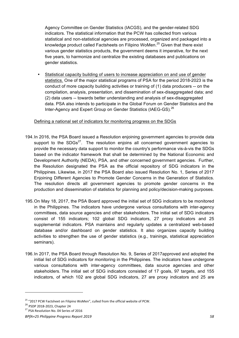Agency Committee on Gender Statistics (IACGS), and the gender-related SDG indicators. The statistical information that the PCW has collected from various statistical and non-statistical agencies are processed, organized and packaged into a knowledge product called Factsheets on Filipino WoMen.<sup>25</sup> Given that there exist various gender statistics products, the government deems it imperative, for the next five years, to harmonize and centralize the existing databases and publications on gender statistics.

Statistical capacity building of users to increase appreciation on and use of gender statistics. One of the major statistical programs of PSA for the period 2018-2023 is the conduct of more capacity building activities or training of (1) data producers -- on the compilation, analysis, presentation, and dissemination of sex-disaggregated data; and (2) data users -- towards better understanding and analysis of sex-disaggregated data. PSA also intends to participate in the Global Forum on Gender Statistics and the Inter-Agency and Expert Group on Gender Statistics (IAEG-GS).<sup>26</sup>

#### Defining a national set of indicators for monitoring progress on the SDGs

- 194.In 2016, the PSA Board issued a Resolution enjoining government agencies to provide data support to the  $SDGs^{27}$ . The resolution enjoins all concerned government agencies to provide the necessary data support to monitor the country's performance vis-à-vis the SDGs based on the indicator framework that shall be determined by the National Economic and Development Authority (NEDA), PSA, and other concerned government agencies. Further, the Resolution designated the PSA as the official repository of SDG indicators in the Philippines. Likewise, in 2017 the PSA Board also issued Resolution No. 1, Series of 2017 Enjoining Different Agencies to Promote Gender Concerns in the Generation of Statistics. The resolution directs all government agencies to promote gender concerns in the production and dissemination of statistics for planning and policy/decision-making purposes.
- 195.On May 18, 2017, the PSA Board approved the initial set of SDG indicators to be monitored in the Philippines. The indicators have undergone various consultations with inter-agency committees, data source agencies and other stakeholders. The initial set of SDG indicators consist of 155 indicators; 102 global SDG indicators, 27 proxy indicators and 25 supplemental indicators. PSA maintains and regularly updates a centralized web-based database and/or dashboard on gender statistics. It also organizes capacity building activities to strengthen the use of gender statistics (e.g., trainings, statistical appreciation seminars).
- 196.In 2017, the PSA Board through Resolution No. 9, Series of 2017approved and adopted the initial list of SDG indicators for monitoring in the Philippines. The indicators have undergone various consultations with inter-agency committees, data source agencies and other stakeholders. The initial set of SDG indicators consisted of 17 goals, 97 targets, and 155 indicators, of which 102 are global SDG indicators, 27 are proxy indicators and 25 are

<sup>&</sup>lt;sup>25</sup> "2017 PCW Factsheet on Filipino WoMen", culled from the official website of PCW.<br><sup>26</sup> PSDP 2018-2023, Chapter 24

<sup>&</sup>lt;sup>27</sup> PSA Resolution No. 04 Series of 2016

*BPfA+25 Philippine Progress Report 2019 58*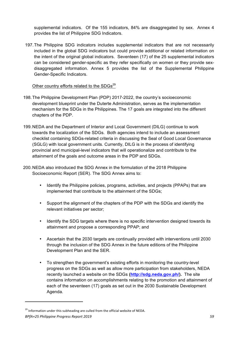supplemental indicators. Of the 155 indicators, 84% are disaggregated by sex. Annex 4 provides the list of Philippine SDG Indicators.

197.The Philippine SDG indicators includes supplemental indicators that are not necessarily included in the global SDG indicators but could provide additional or related information on the intent of the original global indicators. Seventeen (17) of the 25 supplemental indicators can be considered gender-specific as they refer specifically on women or they provide sexdisaggregated information. Annex 5 provides the list of the Supplemental Philippine Gender-Specific Indicators.

#### Other country efforts related to the SDGs<sup>29</sup>

- 198.The Philippine Development Plan (PDP) 2017-2022, the country's socioeconomic development blueprint under the Duterte Administration, serves as the implementation mechanism for the SDGs in the Philippines. The 17 goals are integrated into the different chapters of the PDP.
- 199.NEDA and the Department of Interior and Local Government (DILG) continue to work towards the localization of the SDGs. Both agencies intend to include an assessment checklist containing SDGs-related criteria in discussing the Seal of Good Local Governance (SGLG) with local government units. Currently, DILG is in the process of identifying provincial and municipal-level indicators that will operationalize and contribute to the attainment of the goals and outcome areas in the PDP and SDGs.
- 200.NEDA also introduced the SDG Annex in the formulation of the 2018 Philippine Socioeconomic Report (SER). The SDG Annex aims to:
	- Identify the Philippine policies, programs, activities, and projects (PPAPs) that are implemented that contribute to the attainment of the SDGs;
	- Support the alignment of the chapters of the PDP with the SDGs and identify the relevant initiatives per sector;
	- Identify the SDG targets where there is no specific intervention designed towards its attainment and propose a corresponding PPAP; and
	- Ascertain that the 2030 targets are continually provided with interventions until 2030 through the inclusion of the SDG Annex in the future editions of the Philippine Development Plan and the SER.
	- To strengthen the government's existing efforts in monitoring the country-level progress on the SDGs as well as allow more participation from stakeholders, NEDA recently launched a website on the SDGs **(http://sdg.neda.gov.ph/).** The site contains information on accomplishments relating to the promotion and attainment of each of the seventeen (17) goals as set out in the 2030 Sustainable Development Agenda.

 $29$  Information under this subheading are culled from the official website of NEDA.